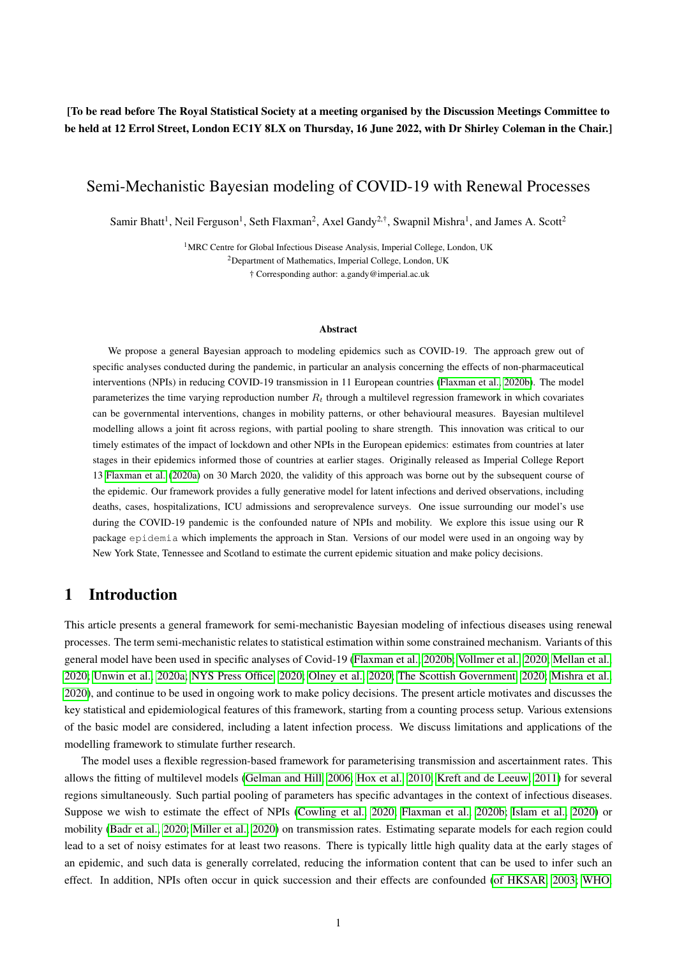### [To be read before The Royal Statistical Society at a meeting organised by the Discussion Meetings Committee to be held at 12 Errol Street, London EC1Y 8LX on Thursday, 16 June 2022, with Dr Shirley Coleman in the Chair.]

# Semi-Mechanistic Bayesian modeling of COVID-19 with Renewal Processes

Samir Bhatt<sup>1</sup>, Neil Ferguson<sup>1</sup>, Seth Flaxman<sup>2</sup>, Axel Gandy<sup>2,†</sup>, Swapnil Mishra<sup>1</sup>, and James A. Scott<sup>2</sup>

<sup>1</sup>MRC Centre for Global Infectious Disease Analysis, Imperial College, London, UK <sup>2</sup>Department of Mathematics, Imperial College, London, UK † Corresponding author: a.gandy@imperial.ac.uk

#### Abstract

We propose a general Bayesian approach to modeling epidemics such as COVID-19. The approach grew out of specific analyses conducted during the pandemic, in particular an analysis concerning the effects of non-pharmaceutical interventions (NPIs) in reducing COVID-19 transmission in 11 European countries [\(Flaxman et al., 2020b\)](#page-11-0). The model parameterizes the time varying reproduction number  $R_t$  through a multilevel regression framework in which covariates can be governmental interventions, changes in mobility patterns, or other behavioural measures. Bayesian multilevel modelling allows a joint fit across regions, with partial pooling to share strength. This innovation was critical to our timely estimates of the impact of lockdown and other NPIs in the European epidemics: estimates from countries at later stages in their epidemics informed those of countries at earlier stages. Originally released as Imperial College Report 13 [Flaxman et al.](#page-11-1) [\(2020a\)](#page-11-1) on 30 March 2020, the validity of this approach was borne out by the subsequent course of the epidemic. Our framework provides a fully generative model for latent infections and derived observations, including deaths, cases, hospitalizations, ICU admissions and seroprevalence surveys. One issue surrounding our model's use during the COVID-19 pandemic is the confounded nature of NPIs and mobility. We explore this issue using our R package epidemia which implements the approach in Stan. Versions of our model were used in an ongoing way by New York State, Tennessee and Scotland to estimate the current epidemic situation and make policy decisions.

# 1 Introduction

This article presents a general framework for semi-mechanistic Bayesian modeling of infectious diseases using renewal processes. The term semi-mechanistic relates to statistical estimation within some constrained mechanism. Variants of this general model have been used in specific analyses of Covid-19 [\(Flaxman et al., 2020b;](#page-11-0) [Vollmer et al., 2020;](#page-14-0) [Mellan et al.,](#page-12-0) [2020;](#page-12-0) [Unwin et al., 2020a;](#page-13-0) [NYS Press Office, 2020;](#page-12-1) [Olney et al., 2020;](#page-13-1) [The Scottish Government, 2020;](#page-13-2) [Mishra et al.,](#page-12-2) [2020\)](#page-12-2), and continue to be used in ongoing work to make policy decisions. The present article motivates and discusses the key statistical and epidemiological features of this framework, starting from a counting process setup. Various extensions of the basic model are considered, including a latent infection process. We discuss limitations and applications of the modelling framework to stimulate further research.

The model uses a flexible regression-based framework for parameterising transmission and ascertainment rates. This allows the fitting of multilevel models [\(Gelman and Hill, 2006;](#page-11-2) [Hox et al., 2010;](#page-11-3) [Kreft and de Leeuw, 2011\)](#page-12-3) for several regions simultaneously. Such partial pooling of parameters has specific advantages in the context of infectious diseases. Suppose we wish to estimate the effect of NPIs [\(Cowling et al., 2020;](#page-10-0) [Flaxman et al., 2020b;](#page-11-0) [Islam et al., 2020\)](#page-11-4) or mobility [\(Badr et al., 2020;](#page-10-1) [Miller et al., 2020\)](#page-12-4) on transmission rates. Estimating separate models for each region could lead to a set of noisy estimates for at least two reasons. There is typically little high quality data at the early stages of an epidemic, and such data is generally correlated, reducing the information content that can be used to infer such an effect. In addition, NPIs often occur in quick succession and their effects are confounded [\(of HKSAR, 2003;](#page-11-5) [WHO,](#page-14-1)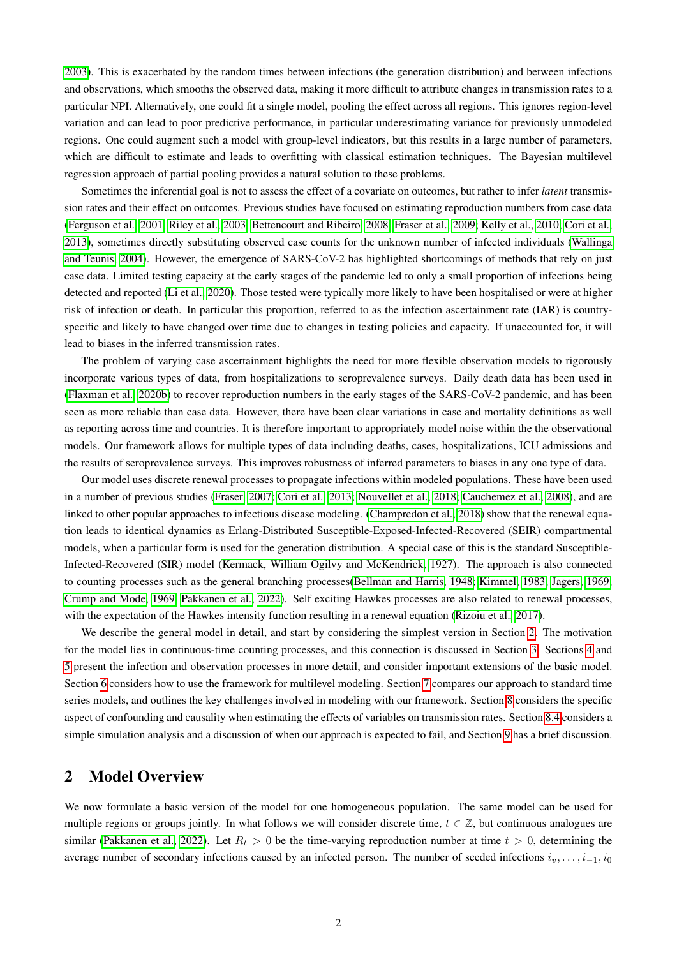[2003\)](#page-14-1). This is exacerbated by the random times between infections (the generation distribution) and between infections and observations, which smooths the observed data, making it more difficult to attribute changes in transmission rates to a particular NPI. Alternatively, one could fit a single model, pooling the effect across all regions. This ignores region-level variation and can lead to poor predictive performance, in particular underestimating variance for previously unmodeled regions. One could augment such a model with group-level indicators, but this results in a large number of parameters, which are difficult to estimate and leads to overfitting with classical estimation techniques. The Bayesian multilevel regression approach of partial pooling provides a natural solution to these problems.

Sometimes the inferential goal is not to assess the effect of a covariate on outcomes, but rather to infer *latent* transmission rates and their effect on outcomes. Previous studies have focused on estimating reproduction numbers from case data [\(Ferguson et al., 2001;](#page-11-6) [Riley et al., 2003;](#page-13-3) [Bettencourt and Ribeiro, 2008;](#page-10-2) [Fraser et al., 2009;](#page-11-7) [Kelly et al., 2010;](#page-11-8) [Cori et al.,](#page-10-3) [2013\)](#page-10-3), sometimes directly substituting observed case counts for the unknown number of infected individuals [\(Wallinga](#page-14-2) [and Teunis, 2004\)](#page-14-2). However, the emergence of SARS-CoV-2 has highlighted shortcomings of methods that rely on just case data. Limited testing capacity at the early stages of the pandemic led to only a small proportion of infections being detected and reported [\(Li et al., 2020\)](#page-12-5). Those tested were typically more likely to have been hospitalised or were at higher risk of infection or death. In particular this proportion, referred to as the infection ascertainment rate (IAR) is countryspecific and likely to have changed over time due to changes in testing policies and capacity. If unaccounted for, it will lead to biases in the inferred transmission rates.

The problem of varying case ascertainment highlights the need for more flexible observation models to rigorously incorporate various types of data, from hospitalizations to seroprevalence surveys. Daily death data has been used in [\(Flaxman et al., 2020b\)](#page-11-0) to recover reproduction numbers in the early stages of the SARS-CoV-2 pandemic, and has been seen as more reliable than case data. However, there have been clear variations in case and mortality definitions as well as reporting across time and countries. It is therefore important to appropriately model noise within the the observational models. Our framework allows for multiple types of data including deaths, cases, hospitalizations, ICU admissions and the results of seroprevalence surveys. This improves robustness of inferred parameters to biases in any one type of data.

Our model uses discrete renewal processes to propagate infections within modeled populations. These have been used in a number of previous studies [\(Fraser, 2007;](#page-11-9) [Cori et al., 2013;](#page-10-3) [Nouvellet et al., 2018;](#page-12-6) [Cauchemez et al., 2008\)](#page-10-4), and are linked to other popular approaches to infectious disease modeling. [\(Champredon et al., 2018\)](#page-10-5) show that the renewal equation leads to identical dynamics as Erlang-Distributed Susceptible-Exposed-Infected-Recovered (SEIR) compartmental models, when a particular form is used for the generation distribution. A special case of this is the standard Susceptible-Infected-Recovered (SIR) model [\(Kermack, William Ogilvy and McKendrick, 1927\)](#page-12-7). The approach is also connected to counting processes such as the general branching processes[\(Bellman and Harris, 1948;](#page-10-6) [Kimmel, 1983;](#page-12-8) [Jagers, 1969;](#page-11-10) [Crump and Mode, 1969;](#page-11-11) [Pakkanen et al., 2022\)](#page-13-4). Self exciting Hawkes processes are also related to renewal processes, with the expectation of the Hawkes intensity function resulting in a renewal equation [\(Rizoiu et al., 2017\)](#page-13-5).

We describe the general model in detail, and start by considering the simplest version in Section [2.](#page-1-0) The motivation for the model lies in continuous-time counting processes, and this connection is discussed in Section [3.](#page-2-0) Sections [4](#page-3-0) and [5](#page-4-0) present the infection and observation processes in more detail, and consider important extensions of the basic model. Section [6](#page-4-1) considers how to use the framework for multilevel modeling. Section [7](#page-5-0) compares our approach to standard time series models, and outlines the key challenges involved in modeling with our framework. Section [8](#page-6-0) considers the specific aspect of confounding and causality when estimating the effects of variables on transmission rates. Section [8.4](#page-9-0) considers a simple simulation analysis and a discussion of when our approach is expected to fail, and Section [9](#page-10-7) has a brief discussion.

### <span id="page-1-0"></span>2 Model Overview

We now formulate a basic version of the model for one homogeneous population. The same model can be used for multiple regions or groups jointly. In what follows we will consider discrete time,  $t \in \mathbb{Z}$ , but continuous analogues are similar [\(Pakkanen et al., 2022\)](#page-13-4). Let  $R_t > 0$  be the time-varying reproduction number at time  $t > 0$ , determining the average number of secondary infections caused by an infected person. The number of seeded infections  $i_v, \ldots, i_{-1}, i_0$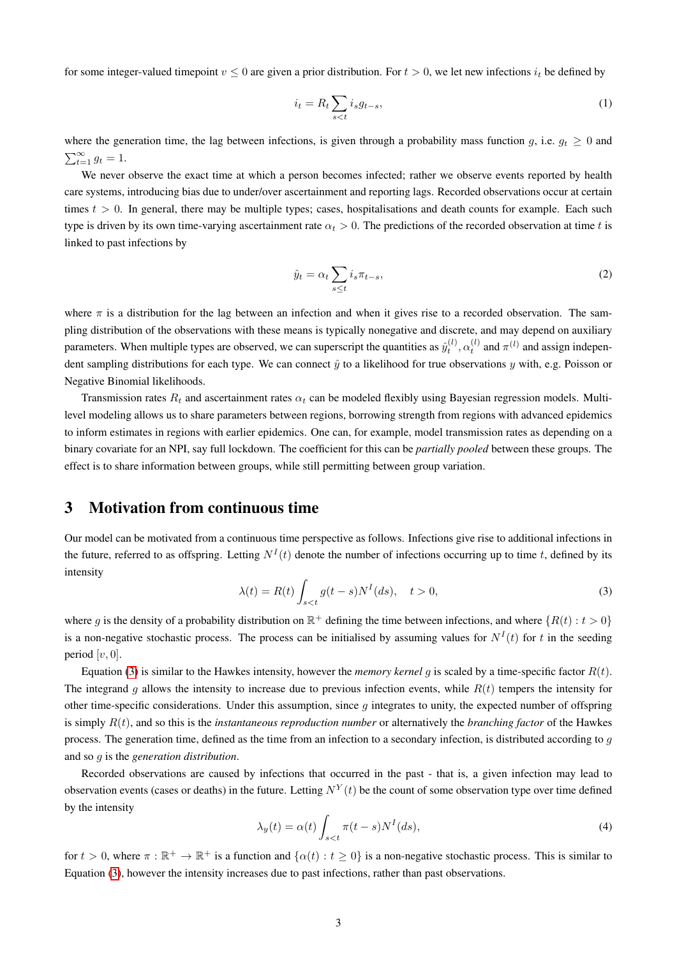for some integer-valued timepoint  $v \leq 0$  are given a prior distribution. For  $t > 0$ , we let new infections  $i_t$  be defined by

<span id="page-2-2"></span>
$$
i_t = R_t \sum_{s < t} i_s g_{t-s},\tag{1}
$$

where the generation time, the lag between infections, is given through a probability mass function g, i.e.  $g_t \geq 0$  and  $\sum_{t=1}^{\infty} g_t = 1.$ 

We never observe the exact time at which a person becomes infected; rather we observe events reported by health care systems, introducing bias due to under/over ascertainment and reporting lags. Recorded observations occur at certain times  $t > 0$ . In general, there may be multiple types; cases, hospitalisations and death counts for example. Each such type is driven by its own time-varying ascertainment rate  $\alpha_t > 0$ . The predictions of the recorded observation at time t is linked to past infections by

<span id="page-2-4"></span>
$$
\hat{y}_t = \alpha_t \sum_{s \le t} i_s \pi_{t-s},\tag{2}
$$

where  $\pi$  is a distribution for the lag between an infection and when it gives rise to a recorded observation. The sampling distribution of the observations with these means is typically nonegative and discrete, and may depend on auxiliary parameters. When multiple types are observed, we can superscript the quantities as  $\hat{y}_t^{(l)}, \alpha_t^{(l)}$  and  $\pi^{(l)}$  and assign independent sampling distributions for each type. We can connect  $\hat{y}$  to a likelihood for true observations y with, e.g. Poisson or Negative Binomial likelihoods.

Transmission rates  $R_t$  and ascertainment rates  $\alpha_t$  can be modeled flexibly using Bayesian regression models. Multilevel modeling allows us to share parameters between regions, borrowing strength from regions with advanced epidemics to inform estimates in regions with earlier epidemics. One can, for example, model transmission rates as depending on a binary covariate for an NPI, say full lockdown. The coefficient for this can be *partially pooled* between these groups. The effect is to share information between groups, while still permitting between group variation.

### <span id="page-2-0"></span>3 Motivation from continuous time

Our model can be motivated from a continuous time perspective as follows. Infections give rise to additional infections in the future, referred to as offspring. Letting  $N<sup>I</sup>(t)$  denote the number of infections occurring up to time t, defined by its intensity

<span id="page-2-1"></span>
$$
\lambda(t) = R(t) \int_{s < t} g(t - s) N^I(ds), \quad t > 0,\tag{3}
$$

where g is the density of a probability distribution on  $\mathbb{R}^+$  defining the time between infections, and where  $\{R(t): t > 0\}$ is a non-negative stochastic process. The process can be initialised by assuming values for  $N<sup>I</sup>(t)$  for t in the seeding period  $[v, 0]$ .

Equation [\(3\)](#page-2-1) is similar to the Hawkes intensity, however the *memory kernel* q is scaled by a time-specific factor  $R(t)$ . The integrand q allows the intensity to increase due to previous infection events, while  $R(t)$  tempers the intensity for other time-specific considerations. Under this assumption, since  $q$  integrates to unity, the expected number of offspring is simply R(t), and so this is the *instantaneous reproduction number* or alternatively the *branching factor* of the Hawkes process. The generation time, defined as the time from an infection to a secondary infection, is distributed according to  $q$ and so g is the *generation distribution*.

Recorded observations are caused by infections that occurred in the past - that is, a given infection may lead to observation events (cases or deaths) in the future. Letting  $N^Y(t)$  be the count of some observation type over time defined by the intensity

<span id="page-2-3"></span>
$$
\lambda_y(t) = \alpha(t) \int_{s < t} \pi(t - s) N^I(ds),\tag{4}
$$

for  $t > 0$ , where  $\pi : \mathbb{R}^+ \to \mathbb{R}^+$  is a function and  $\{\alpha(t) : t \ge 0\}$  is a non-negative stochastic process. This is similar to Equation [\(3\)](#page-2-1), however the intensity increases due to past infections, rather than past observations.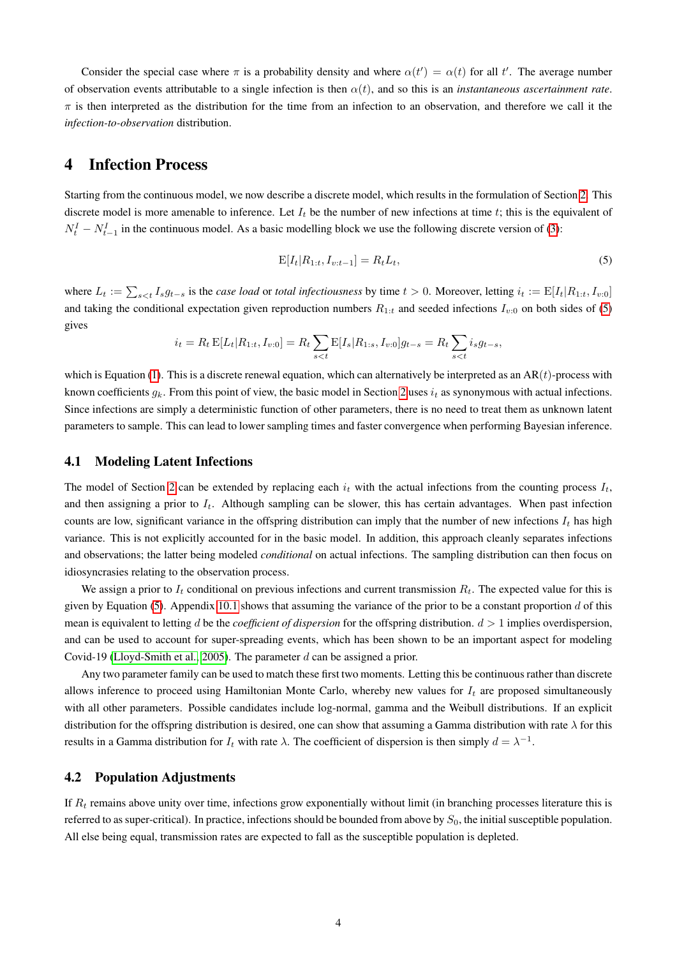Consider the special case where  $\pi$  is a probability density and where  $\alpha(t') = \alpha(t)$  for all t'. The average number of observation events attributable to a single infection is then  $\alpha(t)$ , and so this is an *instantaneous ascertainment rate*.  $\pi$  is then interpreted as the distribution for the time from an infection to an observation, and therefore we call it the *infection-to-observation* distribution.

### <span id="page-3-0"></span>4 Infection Process

Starting from the continuous model, we now describe a discrete model, which results in the formulation of Section [2.](#page-1-0) This discrete model is more amenable to inference. Let  $I_t$  be the number of new infections at time t; this is the equivalent of  $N_t^I - N_{t-1}^I$  in the continuous model. As a basic modelling block we use the following discrete version of [\(3\)](#page-2-1):

<span id="page-3-1"></span>
$$
E[I_t|R_{1:t}, I_{v:t-1}] = R_t L_t,
$$
\n(5)

where  $L_t := \sum_{s \le t} I_s g_{t-s}$  is the *case load* or *total infectiousness* by time  $t > 0$ . Moreover, letting  $i_t := E[I_t | R_{1:t}, I_{v:0}]$ and taking the conditional expectation given reproduction numbers  $R_{1:t}$  and seeded infections  $I_{v:0}$  on both sides of [\(5\)](#page-3-1) gives

$$
i_t = R_t \mathbf{E}[L_t | R_{1:t}, I_{v:0}] = R_t \sum_{s < t} \mathbf{E}[I_s | R_{1:s}, I_{v:0}] g_{t-s} = R_t \sum_{s < t} i_s g_{t-s},
$$

which is Equation [\(1\)](#page-2-2). This is a discrete renewal equation, which can alternatively be interpreted as an  $AR(t)$ -process with known coefficients  $q_k$ . From this point of view, the basic model in Section [2](#page-1-0) uses  $i_t$  as synonymous with actual infections. Since infections are simply a deterministic function of other parameters, there is no need to treat them as unknown latent parameters to sample. This can lead to lower sampling times and faster convergence when performing Bayesian inference.

#### <span id="page-3-2"></span>4.1 Modeling Latent Infections

The model of Section [2](#page-1-0) can be extended by replacing each  $i_t$  with the actual infections from the counting process  $I_t$ , and then assigning a prior to  $I_t$ . Although sampling can be slower, this has certain advantages. When past infection counts are low, significant variance in the offspring distribution can imply that the number of new infections  $I_t$  has high variance. This is not explicitly accounted for in the basic model. In addition, this approach cleanly separates infections and observations; the latter being modeled *conditional* on actual infections. The sampling distribution can then focus on idiosyncrasies relating to the observation process.

We assign a prior to  $I_t$  conditional on previous infections and current transmission  $R_t$ . The expected value for this is given by Equation [\(5\)](#page-3-1). Appendix [10.1](#page-14-3) shows that assuming the variance of the prior to be a constant proportion  $d$  of this mean is equivalent to letting d be the *coefficient of dispersion* for the offspring distribution. d > 1 implies overdispersion, and can be used to account for super-spreading events, which has been shown to be an important aspect for modeling Covid-19 [\(Lloyd-Smith et al., 2005\)](#page-12-9). The parameter d can be assigned a prior.

Any two parameter family can be used to match these first two moments. Letting this be continuous rather than discrete allows inference to proceed using Hamiltonian Monte Carlo, whereby new values for  $I_t$  are proposed simultaneously with all other parameters. Possible candidates include log-normal, gamma and the Weibull distributions. If an explicit distribution for the offspring distribution is desired, one can show that assuming a Gamma distribution with rate  $\lambda$  for this results in a Gamma distribution for  $I_t$  with rate  $\lambda$ . The coefficient of dispersion is then simply  $d = \lambda^{-1}$ .

#### <span id="page-3-3"></span>4.2 Population Adjustments

If  $R_t$  remains above unity over time, infections grow exponentially without limit (in branching processes literature this is referred to as super-critical). In practice, infections should be bounded from above by  $S_0$ , the initial susceptible population. All else being equal, transmission rates are expected to fall as the susceptible population is depleted.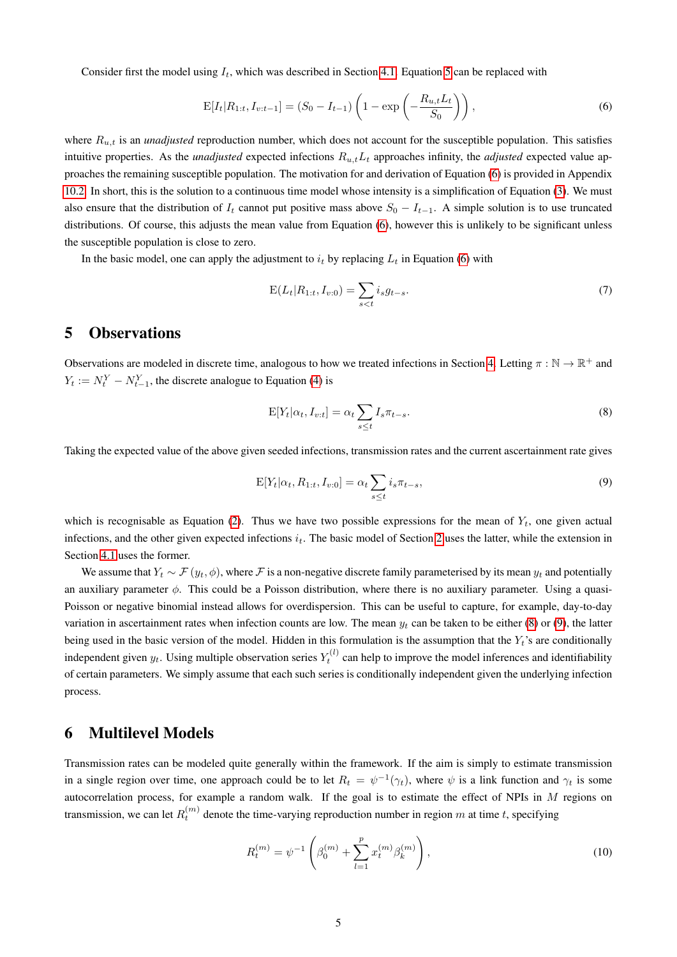Consider first the model using  $I_t$ , which was described in Section [4.1.](#page-3-2) Equation [5](#page-3-1) can be replaced with

<span id="page-4-2"></span>
$$
E[I_t|R_{1:t}, I_{v:t-1}] = (S_0 - I_{t-1}) \left( 1 - \exp\left( -\frac{R_{u,t}L_t}{S_0} \right) \right),\tag{6}
$$

where  $R_{u,t}$  is an *unadjusted* reproduction number, which does not account for the susceptible population. This satisfies intuitive properties. As the *unadjusted* expected infections  $R_{u,t}L_t$  approaches infinity, the *adjusted* expected value approaches the remaining susceptible population. The motivation for and derivation of Equation [\(6\)](#page-4-2) is provided in Appendix [10.2.](#page-14-4) In short, this is the solution to a continuous time model whose intensity is a simplification of Equation [\(3\)](#page-2-1). We must also ensure that the distribution of  $I_t$  cannot put positive mass above  $S_0 - I_{t-1}$ . A simple solution is to use truncated distributions. Of course, this adjusts the mean value from Equation [\(6\)](#page-4-2), however this is unlikely to be significant unless the susceptible population is close to zero.

In the basic model, one can apply the adjustment to  $i_t$  by replacing  $L_t$  in Equation [\(6\)](#page-4-2) with

$$
E(L_t|R_{1:t}, I_{v:0}) = \sum_{s < t} i_s g_{t-s}.\tag{7}
$$

# <span id="page-4-0"></span>5 Observations

Observations are modeled in discrete time, analogous to how we treated infections in Section [4.](#page-3-0) Letting  $\pi : \mathbb{N} \to \mathbb{R}^+$  and  $Y_t := N_t^Y - N_{t-1}^Y$ , the discrete analogue to Equation [\(4\)](#page-2-3) is

<span id="page-4-3"></span>
$$
E[Y_t|\alpha_t, I_{v:t}] = \alpha_t \sum_{s \le t} I_s \pi_{t-s}.
$$
\n(8)

Taking the expected value of the above given seeded infections, transmission rates and the current ascertainment rate gives

<span id="page-4-4"></span>
$$
E[Y_t|\alpha_t, R_{1:t}, I_{v:0}] = \alpha_t \sum_{s \le t} i_s \pi_{t-s},
$$
\n
$$
(9)
$$

which is recognisable as Equation [\(2\)](#page-2-4). Thus we have two possible expressions for the mean of  $Y_t$ , one given actual infections, and the other given expected infections  $i_t$ . The basic model of Section [2](#page-1-0) uses the latter, while the extension in Section [4.1](#page-3-2) uses the former.

We assume that  $Y_t \sim \mathcal{F}(y_t, \phi)$ , where F is a non-negative discrete family parameterised by its mean  $y_t$  and potentially an auxiliary parameter  $\phi$ . This could be a Poisson distribution, where there is no auxiliary parameter. Using a quasi-Poisson or negative binomial instead allows for overdispersion. This can be useful to capture, for example, day-to-day variation in ascertainment rates when infection counts are low. The mean  $y_t$  can be taken to be either [\(8\)](#page-4-3) or [\(9\)](#page-4-4), the latter being used in the basic version of the model. Hidden in this formulation is the assumption that the  $Y_t$ 's are conditionally independent given  $y_t$ . Using multiple observation series  $Y_t^{(l)}$  can help to improve the model inferences and identifiability of certain parameters. We simply assume that each such series is conditionally independent given the underlying infection process.

### <span id="page-4-1"></span>6 Multilevel Models

Transmission rates can be modeled quite generally within the framework. If the aim is simply to estimate transmission in a single region over time, one approach could be to let  $R_t = \psi^{-1}(\gamma_t)$ , where  $\psi$  is a link function and  $\gamma_t$  is some autocorrelation process, for example a random walk. If the goal is to estimate the effect of NPIs in  $M$  regions on transmission, we can let  $R_t^{(m)}$  denote the time-varying reproduction number in region m at time t, specifying

$$
R_t^{(m)} = \psi^{-1} \left( \beta_0^{(m)} + \sum_{l=1}^p x_t^{(m)} \beta_k^{(m)} \right), \tag{10}
$$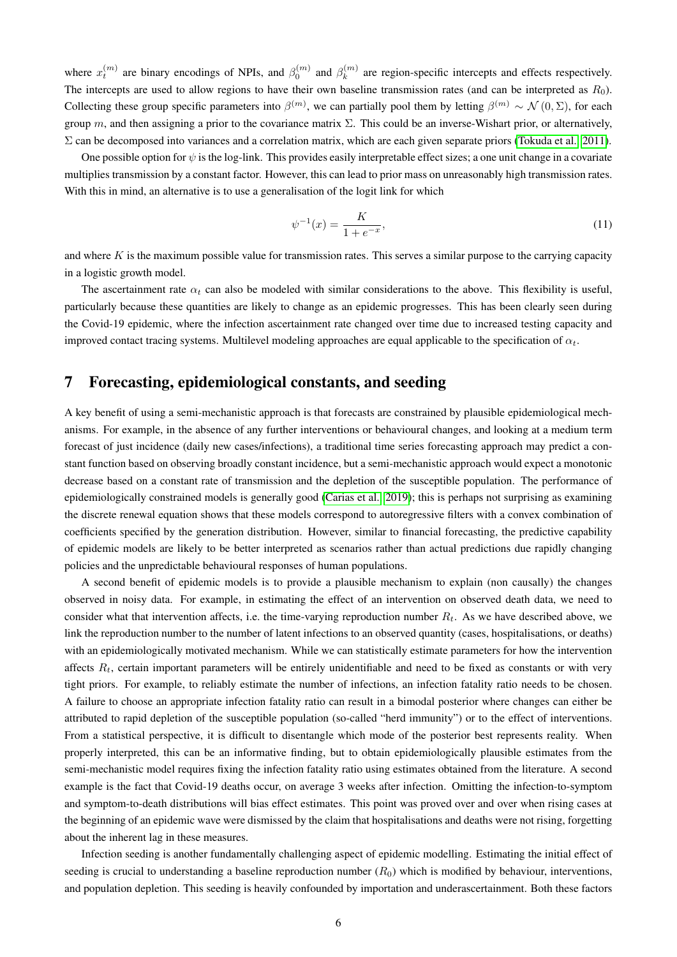where  $x_t^{(m)}$  are binary encodings of NPIs, and  $\beta_0^{(m)}$  and  $\beta_k^{(m)}$  $k_k^{(m)}$  are region-specific intercepts and effects respectively. The intercepts are used to allow regions to have their own baseline transmission rates (and can be interpreted as  $R_0$ ). Collecting these group specific parameters into  $\beta^{(m)}$ , we can partially pool them by letting  $\beta^{(m)} \sim \mathcal{N}(0,\Sigma)$ , for each group m, and then assigning a prior to the covariance matrix Σ. This could be an inverse-Wishart prior, or alternatively,  $\Sigma$  can be decomposed into variances and a correlation matrix, which are each given separate priors [\(Tokuda et al., 2011\)](#page-13-6).

One possible option for  $\psi$  is the log-link. This provides easily interpretable effect sizes; a one unit change in a covariate multiplies transmission by a constant factor. However, this can lead to prior mass on unreasonably high transmission rates. With this in mind, an alternative is to use a generalisation of the logit link for which

$$
\psi^{-1}(x) = \frac{K}{1 + e^{-x}},\tag{11}
$$

and where  $K$  is the maximum possible value for transmission rates. This serves a similar purpose to the carrying capacity in a logistic growth model.

The ascertainment rate  $\alpha_t$  can also be modeled with similar considerations to the above. This flexibility is useful, particularly because these quantities are likely to change as an epidemic progresses. This has been clearly seen during the Covid-19 epidemic, where the infection ascertainment rate changed over time due to increased testing capacity and improved contact tracing systems. Multilevel modeling approaches are equal applicable to the specification of  $\alpha_t$ .

### <span id="page-5-0"></span>7 Forecasting, epidemiological constants, and seeding

A key benefit of using a semi-mechanistic approach is that forecasts are constrained by plausible epidemiological mechanisms. For example, in the absence of any further interventions or behavioural changes, and looking at a medium term forecast of just incidence (daily new cases/infections), a traditional time series forecasting approach may predict a constant function based on observing broadly constant incidence, but a semi-mechanistic approach would expect a monotonic decrease based on a constant rate of transmission and the depletion of the susceptible population. The performance of epidemiologically constrained models is generally good [\(Carias et al., 2019\)](#page-10-8); this is perhaps not surprising as examining the discrete renewal equation shows that these models correspond to autoregressive filters with a convex combination of coefficients specified by the generation distribution. However, similar to financial forecasting, the predictive capability of epidemic models are likely to be better interpreted as scenarios rather than actual predictions due rapidly changing policies and the unpredictable behavioural responses of human populations.

A second benefit of epidemic models is to provide a plausible mechanism to explain (non causally) the changes observed in noisy data. For example, in estimating the effect of an intervention on observed death data, we need to consider what that intervention affects, i.e. the time-varying reproduction number  $R_t$ . As we have described above, we link the reproduction number to the number of latent infections to an observed quantity (cases, hospitalisations, or deaths) with an epidemiologically motivated mechanism. While we can statistically estimate parameters for how the intervention affects  $R_t$ , certain important parameters will be entirely unidentifiable and need to be fixed as constants or with very tight priors. For example, to reliably estimate the number of infections, an infection fatality ratio needs to be chosen. A failure to choose an appropriate infection fatality ratio can result in a bimodal posterior where changes can either be attributed to rapid depletion of the susceptible population (so-called "herd immunity") or to the effect of interventions. From a statistical perspective, it is difficult to disentangle which mode of the posterior best represents reality. When properly interpreted, this can be an informative finding, but to obtain epidemiologically plausible estimates from the semi-mechanistic model requires fixing the infection fatality ratio using estimates obtained from the literature. A second example is the fact that Covid-19 deaths occur, on average 3 weeks after infection. Omitting the infection-to-symptom and symptom-to-death distributions will bias effect estimates. This point was proved over and over when rising cases at the beginning of an epidemic wave were dismissed by the claim that hospitalisations and deaths were not rising, forgetting about the inherent lag in these measures.

Infection seeding is another fundamentally challenging aspect of epidemic modelling. Estimating the initial effect of seeding is crucial to understanding a baseline reproduction number  $(R_0)$  which is modified by behaviour, interventions, and population depletion. This seeding is heavily confounded by importation and underascertainment. Both these factors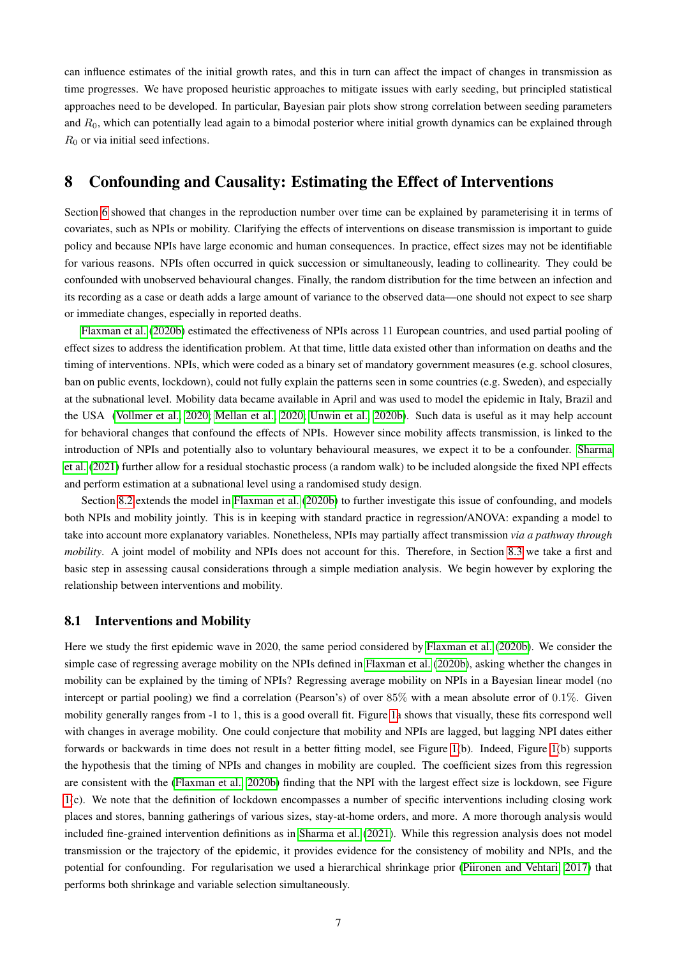can influence estimates of the initial growth rates, and this in turn can affect the impact of changes in transmission as time progresses. We have proposed heuristic approaches to mitigate issues with early seeding, but principled statistical approaches need to be developed. In particular, Bayesian pair plots show strong correlation between seeding parameters and  $R_0$ , which can potentially lead again to a bimodal posterior where initial growth dynamics can be explained through  $R_0$  or via initial seed infections.

# <span id="page-6-0"></span>8 Confounding and Causality: Estimating the Effect of Interventions

Section [6](#page-4-1) showed that changes in the reproduction number over time can be explained by parameterising it in terms of covariates, such as NPIs or mobility. Clarifying the effects of interventions on disease transmission is important to guide policy and because NPIs have large economic and human consequences. In practice, effect sizes may not be identifiable for various reasons. NPIs often occurred in quick succession or simultaneously, leading to collinearity. They could be confounded with unobserved behavioural changes. Finally, the random distribution for the time between an infection and its recording as a case or death adds a large amount of variance to the observed data—one should not expect to see sharp or immediate changes, especially in reported deaths.

[Flaxman et al.](#page-11-0) [\(2020b\)](#page-11-0) estimated the effectiveness of NPIs across 11 European countries, and used partial pooling of effect sizes to address the identification problem. At that time, little data existed other than information on deaths and the timing of interventions. NPIs, which were coded as a binary set of mandatory government measures (e.g. school closures, ban on public events, lockdown), could not fully explain the patterns seen in some countries (e.g. Sweden), and especially at the subnational level. Mobility data became available in April and was used to model the epidemic in Italy, Brazil and the USA [\(Vollmer et al., 2020;](#page-14-0) [Mellan et al., 2020;](#page-12-0) [Unwin et al., 2020b\)](#page-13-7). Such data is useful as it may help account for behavioral changes that confound the effects of NPIs. However since mobility affects transmission, is linked to the introduction of NPIs and potentially also to voluntary behavioural measures, we expect it to be a confounder. [Sharma](#page-13-8) [et al.](#page-13-8) [\(2021\)](#page-13-8) further allow for a residual stochastic process (a random walk) to be included alongside the fixed NPI effects and perform estimation at a subnational level using a randomised study design.

Section [8.2](#page-7-0) extends the model in [Flaxman et al.](#page-11-0) [\(2020b\)](#page-11-0) to further investigate this issue of confounding, and models both NPIs and mobility jointly. This is in keeping with standard practice in regression/ANOVA: expanding a model to take into account more explanatory variables. Nonetheless, NPIs may partially affect transmission *via a pathway through mobility*. A joint model of mobility and NPIs does not account for this. Therefore, in Section [8.3](#page-8-0) we take a first and basic step in assessing causal considerations through a simple mediation analysis. We begin however by exploring the relationship between interventions and mobility.

#### <span id="page-6-1"></span>8.1 Interventions and Mobility

Here we study the first epidemic wave in 2020, the same period considered by [Flaxman et al.](#page-11-0) [\(2020b\)](#page-11-0). We consider the simple case of regressing average mobility on the NPIs defined in [Flaxman et al.](#page-11-0) [\(2020b\)](#page-11-0), asking whether the changes in mobility can be explained by the timing of NPIs? Regressing average mobility on NPIs in a Bayesian linear model (no intercept or partial pooling) we find a correlation (Pearson's) of over 85% with a mean absolute error of 0.1%. Given mobility generally ranges from -1 to 1, this is a good overall fit. Figure [1a](#page-7-1) shows that visually, these fits correspond well with changes in average mobility. One could conjecture that mobility and NPIs are lagged, but lagging NPI dates either forwards or backwards in time does not result in a better fitting model, see Figure [1\(](#page-7-1)b). Indeed, Figure [1\(](#page-7-1)b) supports the hypothesis that the timing of NPIs and changes in mobility are coupled. The coefficient sizes from this regression are consistent with the [\(Flaxman et al., 2020b\)](#page-11-0) finding that the NPI with the largest effect size is lockdown, see Figure [1\(](#page-7-1)c). We note that the definition of lockdown encompasses a number of specific interventions including closing work places and stores, banning gatherings of various sizes, stay-at-home orders, and more. A more thorough analysis would included fine-grained intervention definitions as in [Sharma et al.](#page-13-8) [\(2021\)](#page-13-8). While this regression analysis does not model transmission or the trajectory of the epidemic, it provides evidence for the consistency of mobility and NPIs, and the potential for confounding. For regularisation we used a hierarchical shrinkage prior [\(Piironen and Vehtari, 2017\)](#page-13-9) that performs both shrinkage and variable selection simultaneously.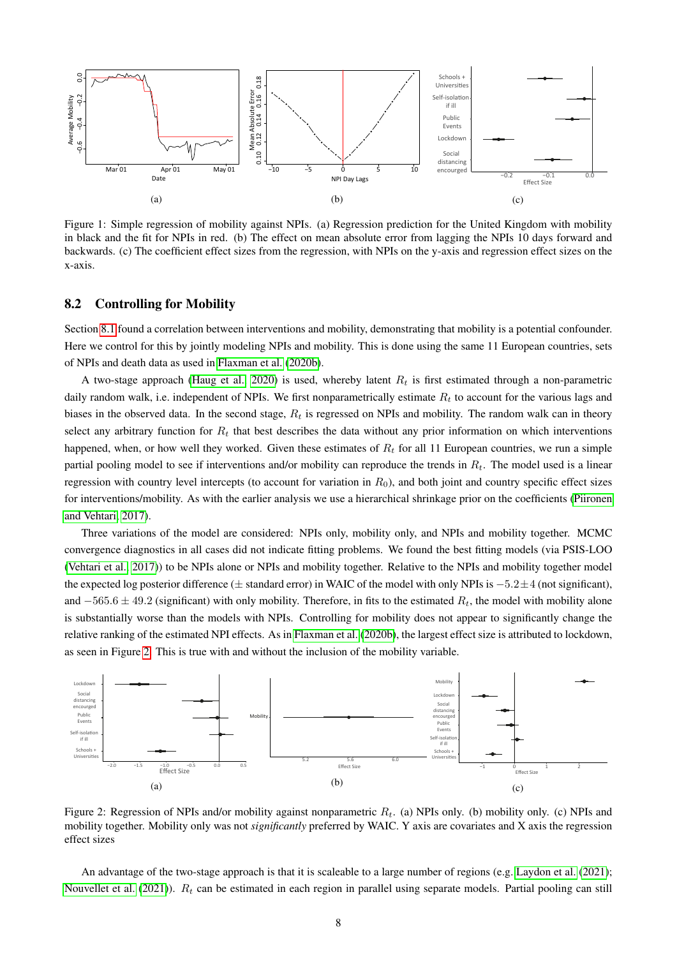<span id="page-7-1"></span>

Figure 1: Simple regression of mobility against NPIs. (a) Regression prediction for the United Kingdom with mobility in black and the fit for NPIs in red. (b) The effect on mean absolute error from lagging the NPIs 10 days forward and backwards. (c) The coefficient effect sizes from the regression, with NPIs on the y-axis and regression effect sizes on the x-axis.

### <span id="page-7-0"></span>8.2 Controlling for Mobility

Section [8.1](#page-6-1) found a correlation between interventions and mobility, demonstrating that mobility is a potential confounder. Here we control for this by jointly modeling NPIs and mobility. This is done using the same 11 European countries, sets of NPIs and death data as used in [Flaxman et al.](#page-11-0) [\(2020b\)](#page-11-0).

A two-stage approach [\(Haug et al., 2020\)](#page-11-12) is used, whereby latent  $R_t$  is first estimated through a non-parametric daily random walk, i.e. independent of NPIs. We first nonparametrically estimate  $R_t$  to account for the various lags and biases in the observed data. In the second stage,  $R_t$  is regressed on NPIs and mobility. The random walk can in theory select any arbitrary function for  $R_t$  that best describes the data without any prior information on which interventions happened, when, or how well they worked. Given these estimates of  $R<sub>t</sub>$  for all 11 European countries, we run a simple partial pooling model to see if interventions and/or mobility can reproduce the trends in  $R_t$ . The model used is a linear regression with country level intercepts (to account for variation in  $R_0$ ), and both joint and country specific effect sizes for interventions/mobility. As with the earlier analysis we use a hierarchical shrinkage prior on the coefficients [\(Piironen](#page-13-9) [and Vehtari, 2017\)](#page-13-9).

Three variations of the model are considered: NPIs only, mobility only, and NPIs and mobility together. MCMC convergence diagnostics in all cases did not indicate fitting problems. We found the best fitting models (via PSIS-LOO [\(Vehtari et al., 2017\)](#page-13-10)) to be NPIs alone or NPIs and mobility together. Relative to the NPIs and mobility together model the expected log posterior difference ( $\pm$  standard error) in WAIC of the model with only NPIs is  $-5.2 \pm 4$  (not significant), and  $-565.6 \pm 49.2$  (significant) with only mobility. Therefore, in fits to the estimated  $R_t$ , the model with mobility alone is substantially worse than the models with NPIs. Controlling for mobility does not appear to significantly change the relative ranking of the estimated NPI effects. As in [Flaxman et al.](#page-11-0) [\(2020b\)](#page-11-0), the largest effect size is attributed to lockdown, as seen in Figure [2.](#page-7-2) This is true with and without the inclusion of the mobility variable.

<span id="page-7-2"></span>

Figure 2: Regression of NPIs and/or mobility against nonparametric  $R_t$ . (a) NPIs only. (b) mobility only. (c) NPIs and mobility together. Mobility only was not *significantly* preferred by WAIC. Y axis are covariates and X axis the regression effect sizes

An advantage of the two-stage approach is that it is scaleable to a large number of regions (e.g. [Laydon et al.](#page-12-10) [\(2021\)](#page-12-10); [Nouvellet et al.](#page-12-11) [\(2021\)](#page-12-11)).  $R_t$  can be estimated in each region in parallel using separate models. Partial pooling can still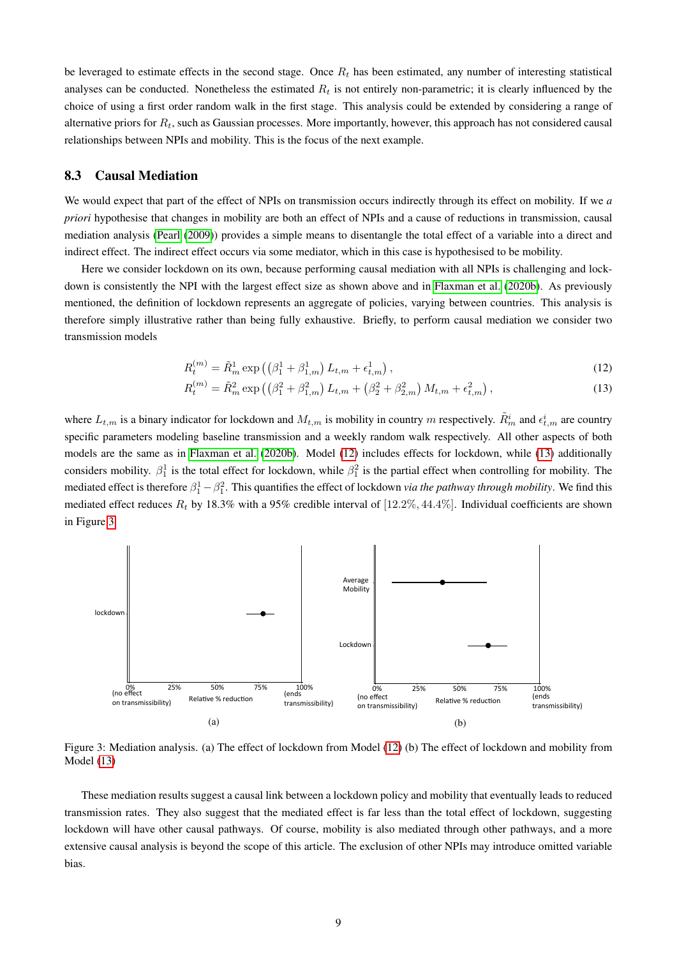be leveraged to estimate effects in the second stage. Once  $R_t$  has been estimated, any number of interesting statistical analyses can be conducted. Nonetheless the estimated  $R_t$  is not entirely non-parametric; it is clearly influenced by the choice of using a first order random walk in the first stage. This analysis could be extended by considering a range of alternative priors for  $R_t$ , such as Gaussian processes. More importantly, however, this approach has not considered causal relationships between NPIs and mobility. This is the focus of the next example.

#### <span id="page-8-0"></span>8.3 Causal Mediation

We would expect that part of the effect of NPIs on transmission occurs indirectly through its effect on mobility. If we *a priori* hypothesise that changes in mobility are both an effect of NPIs and a cause of reductions in transmission, causal mediation analysis [\(Pearl](#page-13-11) [\(2009\)](#page-13-11)) provides a simple means to disentangle the total effect of a variable into a direct and indirect effect. The indirect effect occurs via some mediator, which in this case is hypothesised to be mobility.

Here we consider lockdown on its own, because performing causal mediation with all NPIs is challenging and lock-down is consistently the NPI with the largest effect size as shown above and in [Flaxman et al.](#page-11-0) [\(2020b\)](#page-11-0). As previously mentioned, the definition of lockdown represents an aggregate of policies, varying between countries. This analysis is therefore simply illustrative rather than being fully exhaustive. Briefly, to perform causal mediation we consider two transmission models

<span id="page-8-2"></span><span id="page-8-1"></span>
$$
R_t^{(m)} = \tilde{R}_m^1 \exp\left(\left(\beta_1^1 + \beta_{1,m}^1\right) L_{t,m} + \epsilon_{t,m}^1\right),\tag{12}
$$

$$
R_t^{(m)} = \tilde{R}_m^2 \exp\left(\left(\beta_1^2 + \beta_{1,m}^2\right)L_{t,m} + \left(\beta_2^2 + \beta_{2,m}^2\right)M_{t,m} + \epsilon_{t,m}^2\right),\tag{13}
$$

where  $L_{t,m}$  is a binary indicator for lockdown and  $M_{t,m}$  is mobility in country m respectively.  $\tilde{R}^i_m$  and  $\epsilon^i_{t,m}$  are country specific parameters modeling baseline transmission and a weekly random walk respectively. All other aspects of both models are the same as in [Flaxman et al.](#page-11-0) [\(2020b\)](#page-11-0). Model [\(12\)](#page-8-1) includes effects for lockdown, while [\(13\)](#page-8-2) additionally considers mobility.  $\beta_1^1$  is the total effect for lockdown, while  $\beta_1^2$  is the partial effect when controlling for mobility. The mediated effect is therefore  $\beta_1^1 - \beta_1^2$ . This quantifies the effect of lockdown *via the pathway through mobility*. We find this mediated effect reduces  $R_t$  by 18.3% with a 95% credible interval of [12.2%, 44.4%]. Individual coefficients are shown in Figure [3.](#page-8-3)

<span id="page-8-3"></span>

Figure 3: Mediation analysis. (a) The effect of lockdown from Model [\(12\)](#page-8-1) (b) The effect of lockdown and mobility from Model [\(13\)](#page-8-2)

These mediation results suggest a causal link between a lockdown policy and mobility that eventually leads to reduced transmission rates. They also suggest that the mediated effect is far less than the total effect of lockdown, suggesting lockdown will have other causal pathways. Of course, mobility is also mediated through other pathways, and a more extensive causal analysis is beyond the scope of this article. The exclusion of other NPIs may introduce omitted variable bias.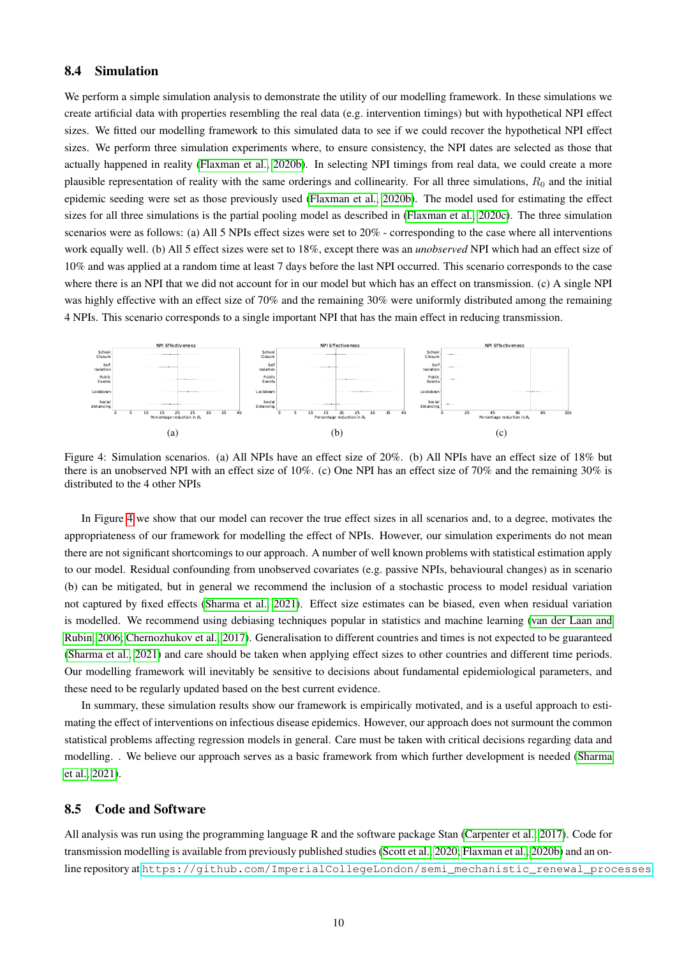### <span id="page-9-0"></span>8.4 Simulation

We perform a simple simulation analysis to demonstrate the utility of our modelling framework. In these simulations we create artificial data with properties resembling the real data (e.g. intervention timings) but with hypothetical NPI effect sizes. We fitted our modelling framework to this simulated data to see if we could recover the hypothetical NPI effect sizes. We perform three simulation experiments where, to ensure consistency, the NPI dates are selected as those that actually happened in reality [\(Flaxman et al., 2020b\)](#page-11-0). In selecting NPI timings from real data, we could create a more plausible representation of reality with the same orderings and collinearity. For all three simulations,  $R_0$  and the initial epidemic seeding were set as those previously used [\(Flaxman et al., 2020b\)](#page-11-0). The model used for estimating the effect sizes for all three simulations is the partial pooling model as described in [\(Flaxman et al., 2020c\)](#page-11-13). The three simulation scenarios were as follows: (a) All 5 NPIs effect sizes were set to 20% - corresponding to the case where all interventions work equally well. (b) All 5 effect sizes were set to 18%, except there was an *unobserved* NPI which had an effect size of 10% and was applied at a random time at least 7 days before the last NPI occurred. This scenario corresponds to the case where there is an NPI that we did not account for in our model but which has an effect on transmission. (c) A single NPI was highly effective with an effect size of 70% and the remaining 30% were uniformly distributed among the remaining 4 NPIs. This scenario corresponds to a single important NPI that has the main effect in reducing transmission.

<span id="page-9-1"></span>

Figure 4: Simulation scenarios. (a) All NPIs have an effect size of 20%. (b) All NPIs have an effect size of 18% but there is an unobserved NPI with an effect size of 10%. (c) One NPI has an effect size of 70% and the remaining 30% is distributed to the 4 other NPIs

In Figure [4](#page-9-1) we show that our model can recover the true effect sizes in all scenarios and, to a degree, motivates the appropriateness of our framework for modelling the effect of NPIs. However, our simulation experiments do not mean there are not significant shortcomings to our approach. A number of well known problems with statistical estimation apply to our model. Residual confounding from unobserved covariates (e.g. passive NPIs, behavioural changes) as in scenario (b) can be mitigated, but in general we recommend the inclusion of a stochastic process to model residual variation not captured by fixed effects [\(Sharma et al., 2021\)](#page-13-8). Effect size estimates can be biased, even when residual variation is modelled. We recommend using debiasing techniques popular in statistics and machine learning [\(van der Laan and](#page-12-12) [Rubin, 2006;](#page-12-12) [Chernozhukov et al., 2017\)](#page-10-9). Generalisation to different countries and times is not expected to be guaranteed [\(Sharma et al., 2021\)](#page-13-8) and care should be taken when applying effect sizes to other countries and different time periods. Our modelling framework will inevitably be sensitive to decisions about fundamental epidemiological parameters, and these need to be regularly updated based on the best current evidence.

In summary, these simulation results show our framework is empirically motivated, and is a useful approach to estimating the effect of interventions on infectious disease epidemics. However, our approach does not surmount the common statistical problems affecting regression models in general. Care must be taken with critical decisions regarding data and modelling. . We believe our approach serves as a basic framework from which further development is needed [\(Sharma](#page-13-8) [et al., 2021\)](#page-13-8).

#### 8.5 Code and Software

All analysis was run using the programming language R and the software package Stan [\(Carpenter et al., 2017\)](#page-10-10). Code for transmission modelling is available from previously published studies [\(Scott et al., 2020;](#page-13-12) [Flaxman et al., 2020b\)](#page-11-0) and an online repository at [https://github.com/ImperialCollegeLondon/semi\\_mechanistic\\_renewal\\_processes](https://github.com/ImperialCollegeLondon/semi_mechanistic_renewal_processes).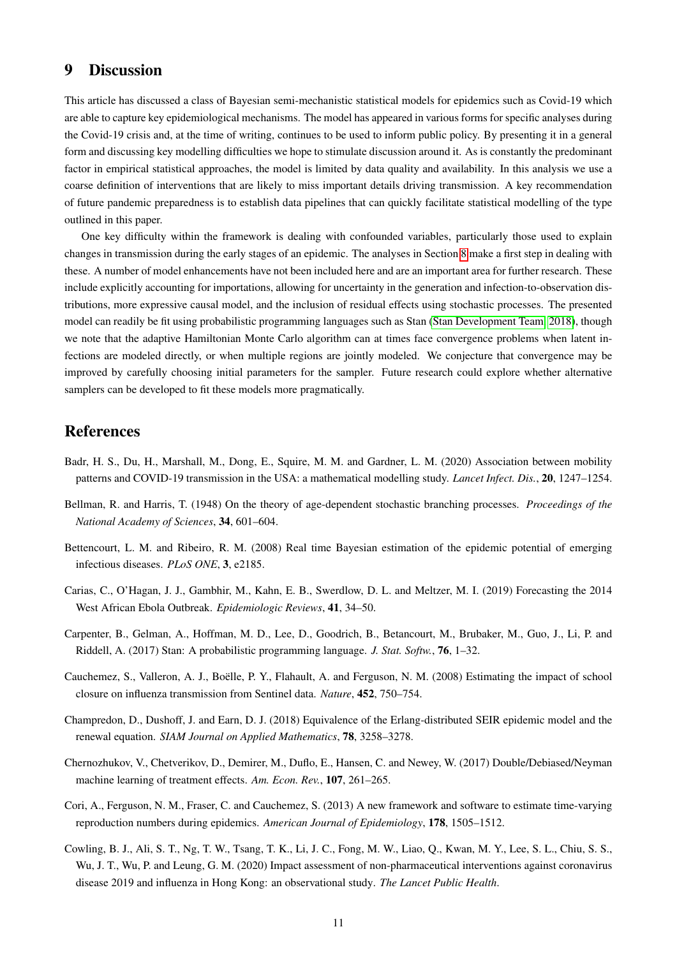# <span id="page-10-7"></span>9 Discussion

This article has discussed a class of Bayesian semi-mechanistic statistical models for epidemics such as Covid-19 which are able to capture key epidemiological mechanisms. The model has appeared in various forms for specific analyses during the Covid-19 crisis and, at the time of writing, continues to be used to inform public policy. By presenting it in a general form and discussing key modelling difficulties we hope to stimulate discussion around it. As is constantly the predominant factor in empirical statistical approaches, the model is limited by data quality and availability. In this analysis we use a coarse definition of interventions that are likely to miss important details driving transmission. A key recommendation of future pandemic preparedness is to establish data pipelines that can quickly facilitate statistical modelling of the type outlined in this paper.

One key difficulty within the framework is dealing with confounded variables, particularly those used to explain changes in transmission during the early stages of an epidemic. The analyses in Section [8](#page-6-0) make a first step in dealing with these. A number of model enhancements have not been included here and are an important area for further research. These include explicitly accounting for importations, allowing for uncertainty in the generation and infection-to-observation distributions, more expressive causal model, and the inclusion of residual effects using stochastic processes. The presented model can readily be fit using probabilistic programming languages such as Stan [\(Stan Development Team, 2018\)](#page-13-13), though we note that the adaptive Hamiltonian Monte Carlo algorithm can at times face convergence problems when latent infections are modeled directly, or when multiple regions are jointly modeled. We conjecture that convergence may be improved by carefully choosing initial parameters for the sampler. Future research could explore whether alternative samplers can be developed to fit these models more pragmatically.

# References

- <span id="page-10-1"></span>Badr, H. S., Du, H., Marshall, M., Dong, E., Squire, M. M. and Gardner, L. M. (2020) Association between mobility patterns and COVID-19 transmission in the USA: a mathematical modelling study. *Lancet Infect. Dis.*, 20, 1247–1254.
- <span id="page-10-6"></span>Bellman, R. and Harris, T. (1948) On the theory of age-dependent stochastic branching processes. *Proceedings of the National Academy of Sciences*, 34, 601–604.
- <span id="page-10-2"></span>Bettencourt, L. M. and Ribeiro, R. M. (2008) Real time Bayesian estimation of the epidemic potential of emerging infectious diseases. *PLoS ONE*, 3, e2185.
- <span id="page-10-8"></span>Carias, C., O'Hagan, J. J., Gambhir, M., Kahn, E. B., Swerdlow, D. L. and Meltzer, M. I. (2019) Forecasting the 2014 West African Ebola Outbreak. *Epidemiologic Reviews*, 41, 34–50.
- <span id="page-10-10"></span>Carpenter, B., Gelman, A., Hoffman, M. D., Lee, D., Goodrich, B., Betancourt, M., Brubaker, M., Guo, J., Li, P. and Riddell, A. (2017) Stan: A probabilistic programming language. *J. Stat. Softw.*, 76, 1–32.
- <span id="page-10-4"></span>Cauchemez, S., Valleron, A. J., Boëlle, P. Y., Flahault, A. and Ferguson, N. M. (2008) Estimating the impact of school closure on influenza transmission from Sentinel data. *Nature*, 452, 750–754.
- <span id="page-10-5"></span>Champredon, D., Dushoff, J. and Earn, D. J. (2018) Equivalence of the Erlang-distributed SEIR epidemic model and the renewal equation. *SIAM Journal on Applied Mathematics*, 78, 3258–3278.
- <span id="page-10-9"></span>Chernozhukov, V., Chetverikov, D., Demirer, M., Duflo, E., Hansen, C. and Newey, W. (2017) Double/Debiased/Neyman machine learning of treatment effects. *Am. Econ. Rev.*, 107, 261–265.
- <span id="page-10-3"></span>Cori, A., Ferguson, N. M., Fraser, C. and Cauchemez, S. (2013) A new framework and software to estimate time-varying reproduction numbers during epidemics. *American Journal of Epidemiology*, 178, 1505–1512.
- <span id="page-10-0"></span>Cowling, B. J., Ali, S. T., Ng, T. W., Tsang, T. K., Li, J. C., Fong, M. W., Liao, Q., Kwan, M. Y., Lee, S. L., Chiu, S. S., Wu, J. T., Wu, P. and Leung, G. M. (2020) Impact assessment of non-pharmaceutical interventions against coronavirus disease 2019 and influenza in Hong Kong: an observational study. *The Lancet Public Health*.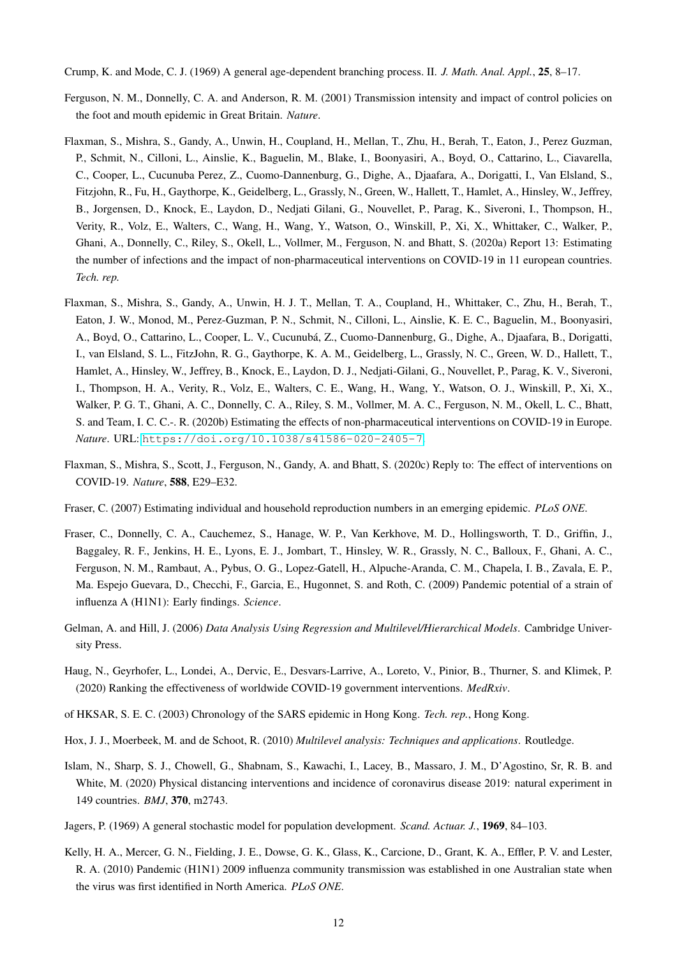<span id="page-11-11"></span>Crump, K. and Mode, C. J. (1969) A general age-dependent branching process. II. *J. Math. Anal. Appl.*, 25, 8–17.

- <span id="page-11-6"></span>Ferguson, N. M., Donnelly, C. A. and Anderson, R. M. (2001) Transmission intensity and impact of control policies on the foot and mouth epidemic in Great Britain. *Nature*.
- <span id="page-11-1"></span>Flaxman, S., Mishra, S., Gandy, A., Unwin, H., Coupland, H., Mellan, T., Zhu, H., Berah, T., Eaton, J., Perez Guzman, P., Schmit, N., Cilloni, L., Ainslie, K., Baguelin, M., Blake, I., Boonyasiri, A., Boyd, O., Cattarino, L., Ciavarella, C., Cooper, L., Cucunuba Perez, Z., Cuomo-Dannenburg, G., Dighe, A., Djaafara, A., Dorigatti, I., Van Elsland, S., Fitzjohn, R., Fu, H., Gaythorpe, K., Geidelberg, L., Grassly, N., Green, W., Hallett, T., Hamlet, A., Hinsley, W., Jeffrey, B., Jorgensen, D., Knock, E., Laydon, D., Nedjati Gilani, G., Nouvellet, P., Parag, K., Siveroni, I., Thompson, H., Verity, R., Volz, E., Walters, C., Wang, H., Wang, Y., Watson, O., Winskill, P., Xi, X., Whittaker, C., Walker, P., Ghani, A., Donnelly, C., Riley, S., Okell, L., Vollmer, M., Ferguson, N. and Bhatt, S. (2020a) Report 13: Estimating the number of infections and the impact of non-pharmaceutical interventions on COVID-19 in 11 european countries. *Tech. rep.*
- <span id="page-11-0"></span>Flaxman, S., Mishra, S., Gandy, A., Unwin, H. J. T., Mellan, T. A., Coupland, H., Whittaker, C., Zhu, H., Berah, T., Eaton, J. W., Monod, M., Perez-Guzman, P. N., Schmit, N., Cilloni, L., Ainslie, K. E. C., Baguelin, M., Boonyasiri, A., Boyd, O., Cattarino, L., Cooper, L. V., Cucunuba, Z., Cuomo-Dannenburg, G., Dighe, A., Djaafara, B., Dorigatti, ´ I., van Elsland, S. L., FitzJohn, R. G., Gaythorpe, K. A. M., Geidelberg, L., Grassly, N. C., Green, W. D., Hallett, T., Hamlet, A., Hinsley, W., Jeffrey, B., Knock, E., Laydon, D. J., Nedjati-Gilani, G., Nouvellet, P., Parag, K. V., Siveroni, I., Thompson, H. A., Verity, R., Volz, E., Walters, C. E., Wang, H., Wang, Y., Watson, O. J., Winskill, P., Xi, X., Walker, P. G. T., Ghani, A. C., Donnelly, C. A., Riley, S. M., Vollmer, M. A. C., Ferguson, N. M., Okell, L. C., Bhatt, S. and Team, I. C. C.-. R. (2020b) Estimating the effects of non-pharmaceutical interventions on COVID-19 in Europe. *Nature*. URL: <https://doi.org/10.1038/s41586-020-2405-7>.
- <span id="page-11-13"></span>Flaxman, S., Mishra, S., Scott, J., Ferguson, N., Gandy, A. and Bhatt, S. (2020c) Reply to: The effect of interventions on COVID-19. *Nature*, 588, E29–E32.
- <span id="page-11-9"></span>Fraser, C. (2007) Estimating individual and household reproduction numbers in an emerging epidemic. *PLoS ONE*.
- <span id="page-11-7"></span>Fraser, C., Donnelly, C. A., Cauchemez, S., Hanage, W. P., Van Kerkhove, M. D., Hollingsworth, T. D., Griffin, J., Baggaley, R. F., Jenkins, H. E., Lyons, E. J., Jombart, T., Hinsley, W. R., Grassly, N. C., Balloux, F., Ghani, A. C., Ferguson, N. M., Rambaut, A., Pybus, O. G., Lopez-Gatell, H., Alpuche-Aranda, C. M., Chapela, I. B., Zavala, E. P., Ma. Espejo Guevara, D., Checchi, F., Garcia, E., Hugonnet, S. and Roth, C. (2009) Pandemic potential of a strain of influenza A (H1N1): Early findings. *Science*.
- <span id="page-11-2"></span>Gelman, A. and Hill, J. (2006) *Data Analysis Using Regression and Multilevel/Hierarchical Models*. Cambridge University Press.
- <span id="page-11-12"></span>Haug, N., Geyrhofer, L., Londei, A., Dervic, E., Desvars-Larrive, A., Loreto, V., Pinior, B., Thurner, S. and Klimek, P. (2020) Ranking the effectiveness of worldwide COVID-19 government interventions. *MedRxiv*.
- <span id="page-11-5"></span>of HKSAR, S. E. C. (2003) Chronology of the SARS epidemic in Hong Kong. *Tech. rep.*, Hong Kong.
- <span id="page-11-3"></span>Hox, J. J., Moerbeek, M. and de Schoot, R. (2010) *Multilevel analysis: Techniques and applications*. Routledge.
- <span id="page-11-4"></span>Islam, N., Sharp, S. J., Chowell, G., Shabnam, S., Kawachi, I., Lacey, B., Massaro, J. M., D'Agostino, Sr, R. B. and White, M. (2020) Physical distancing interventions and incidence of coronavirus disease 2019: natural experiment in 149 countries. *BMJ*, 370, m2743.
- <span id="page-11-10"></span>Jagers, P. (1969) A general stochastic model for population development. *Scand. Actuar. J.*, 1969, 84–103.
- <span id="page-11-8"></span>Kelly, H. A., Mercer, G. N., Fielding, J. E., Dowse, G. K., Glass, K., Carcione, D., Grant, K. A., Effler, P. V. and Lester, R. A. (2010) Pandemic (H1N1) 2009 influenza community transmission was established in one Australian state when the virus was first identified in North America. *PLoS ONE*.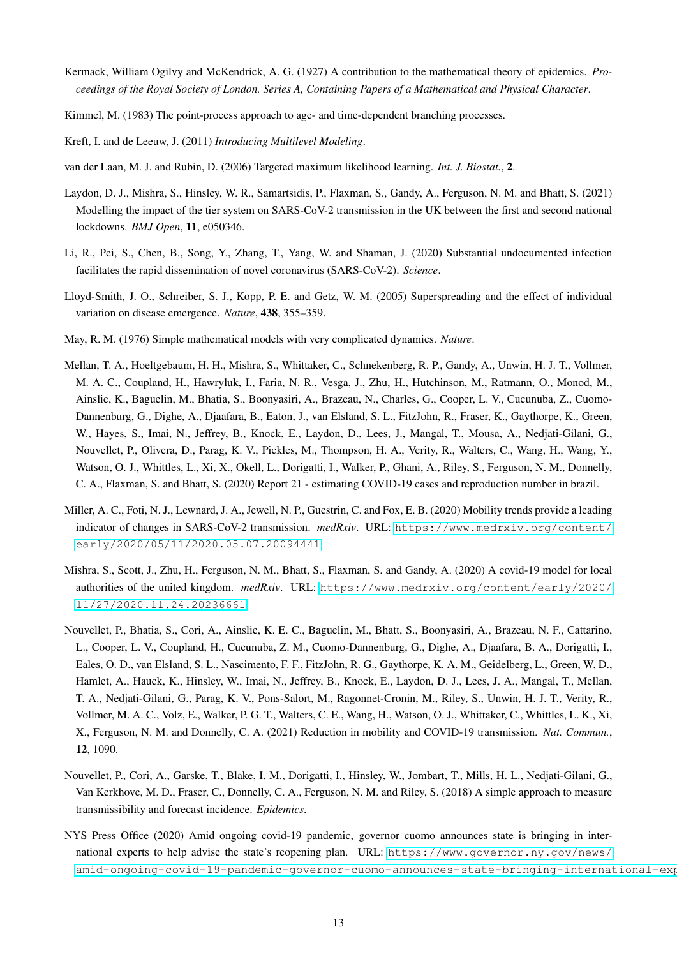- <span id="page-12-7"></span>Kermack, William Ogilvy and McKendrick, A. G. (1927) A contribution to the mathematical theory of epidemics. *Proceedings of the Royal Society of London. Series A, Containing Papers of a Mathematical and Physical Character*.
- <span id="page-12-8"></span>Kimmel, M. (1983) The point-process approach to age- and time-dependent branching processes.
- <span id="page-12-3"></span>Kreft, I. and de Leeuw, J. (2011) *Introducing Multilevel Modeling*.
- <span id="page-12-12"></span>van der Laan, M. J. and Rubin, D. (2006) Targeted maximum likelihood learning. *Int. J. Biostat.*, 2.
- <span id="page-12-10"></span>Laydon, D. J., Mishra, S., Hinsley, W. R., Samartsidis, P., Flaxman, S., Gandy, A., Ferguson, N. M. and Bhatt, S. (2021) Modelling the impact of the tier system on SARS-CoV-2 transmission in the UK between the first and second national lockdowns. *BMJ Open*, 11, e050346.
- <span id="page-12-5"></span>Li, R., Pei, S., Chen, B., Song, Y., Zhang, T., Yang, W. and Shaman, J. (2020) Substantial undocumented infection facilitates the rapid dissemination of novel coronavirus (SARS-CoV-2). *Science*.
- <span id="page-12-9"></span>Lloyd-Smith, J. O., Schreiber, S. J., Kopp, P. E. and Getz, W. M. (2005) Superspreading and the effect of individual variation on disease emergence. *Nature*, 438, 355–359.
- <span id="page-12-13"></span>May, R. M. (1976) Simple mathematical models with very complicated dynamics. *Nature*.
- <span id="page-12-0"></span>Mellan, T. A., Hoeltgebaum, H. H., Mishra, S., Whittaker, C., Schnekenberg, R. P., Gandy, A., Unwin, H. J. T., Vollmer, M. A. C., Coupland, H., Hawryluk, I., Faria, N. R., Vesga, J., Zhu, H., Hutchinson, M., Ratmann, O., Monod, M., Ainslie, K., Baguelin, M., Bhatia, S., Boonyasiri, A., Brazeau, N., Charles, G., Cooper, L. V., Cucunuba, Z., Cuomo-Dannenburg, G., Dighe, A., Djaafara, B., Eaton, J., van Elsland, S. L., FitzJohn, R., Fraser, K., Gaythorpe, K., Green, W., Hayes, S., Imai, N., Jeffrey, B., Knock, E., Laydon, D., Lees, J., Mangal, T., Mousa, A., Nedjati-Gilani, G., Nouvellet, P., Olivera, D., Parag, K. V., Pickles, M., Thompson, H. A., Verity, R., Walters, C., Wang, H., Wang, Y., Watson, O. J., Whittles, L., Xi, X., Okell, L., Dorigatti, I., Walker, P., Ghani, A., Riley, S., Ferguson, N. M., Donnelly, C. A., Flaxman, S. and Bhatt, S. (2020) Report 21 - estimating COVID-19 cases and reproduction number in brazil.
- <span id="page-12-4"></span>Miller, A. C., Foti, N. J., Lewnard, J. A., Jewell, N. P., Guestrin, C. and Fox, E. B. (2020) Mobility trends provide a leading indicator of changes in SARS-CoV-2 transmission. *medRxiv*. URL: [https://www.medrxiv.org/content/](https://www.medrxiv.org/content/early/2020/05/11/2020.05.07.20094441) [early/2020/05/11/2020.05.07.20094441](https://www.medrxiv.org/content/early/2020/05/11/2020.05.07.20094441).
- <span id="page-12-2"></span>Mishra, S., Scott, J., Zhu, H., Ferguson, N. M., Bhatt, S., Flaxman, S. and Gandy, A. (2020) A covid-19 model for local authorities of the united kingdom. *medRxiv*. URL: [https://www.medrxiv.org/content/early/2020/](https://www.medrxiv.org/content/early/2020/11/27/2020.11.24.20236661) [11/27/2020.11.24.20236661](https://www.medrxiv.org/content/early/2020/11/27/2020.11.24.20236661).
- <span id="page-12-11"></span>Nouvellet, P., Bhatia, S., Cori, A., Ainslie, K. E. C., Baguelin, M., Bhatt, S., Boonyasiri, A., Brazeau, N. F., Cattarino, L., Cooper, L. V., Coupland, H., Cucunuba, Z. M., Cuomo-Dannenburg, G., Dighe, A., Djaafara, B. A., Dorigatti, I., Eales, O. D., van Elsland, S. L., Nascimento, F. F., FitzJohn, R. G., Gaythorpe, K. A. M., Geidelberg, L., Green, W. D., Hamlet, A., Hauck, K., Hinsley, W., Imai, N., Jeffrey, B., Knock, E., Laydon, D. J., Lees, J. A., Mangal, T., Mellan, T. A., Nedjati-Gilani, G., Parag, K. V., Pons-Salort, M., Ragonnet-Cronin, M., Riley, S., Unwin, H. J. T., Verity, R., Vollmer, M. A. C., Volz, E., Walker, P. G. T., Walters, C. E., Wang, H., Watson, O. J., Whittaker, C., Whittles, L. K., Xi, X., Ferguson, N. M. and Donnelly, C. A. (2021) Reduction in mobility and COVID-19 transmission. *Nat. Commun.*, 12, 1090.
- <span id="page-12-6"></span>Nouvellet, P., Cori, A., Garske, T., Blake, I. M., Dorigatti, I., Hinsley, W., Jombart, T., Mills, H. L., Nedjati-Gilani, G., Van Kerkhove, M. D., Fraser, C., Donnelly, C. A., Ferguson, N. M. and Riley, S. (2018) A simple approach to measure transmissibility and forecast incidence. *Epidemics*.
- <span id="page-12-1"></span>NYS Press Office (2020) Amid ongoing covid-19 pandemic, governor cuomo announces state is bringing in international experts to help advise the state's reopening plan. URL: [https://www.governor.ny.gov/news/](https://www.governor.ny.gov/news/amid-ongoing-covid-19-pandemic-governor-cuomo-announces-state-bringing-international-experts) amid-ongoing-covid-19-pandemic-governor-cuomo-announces-state-bringing-international-exp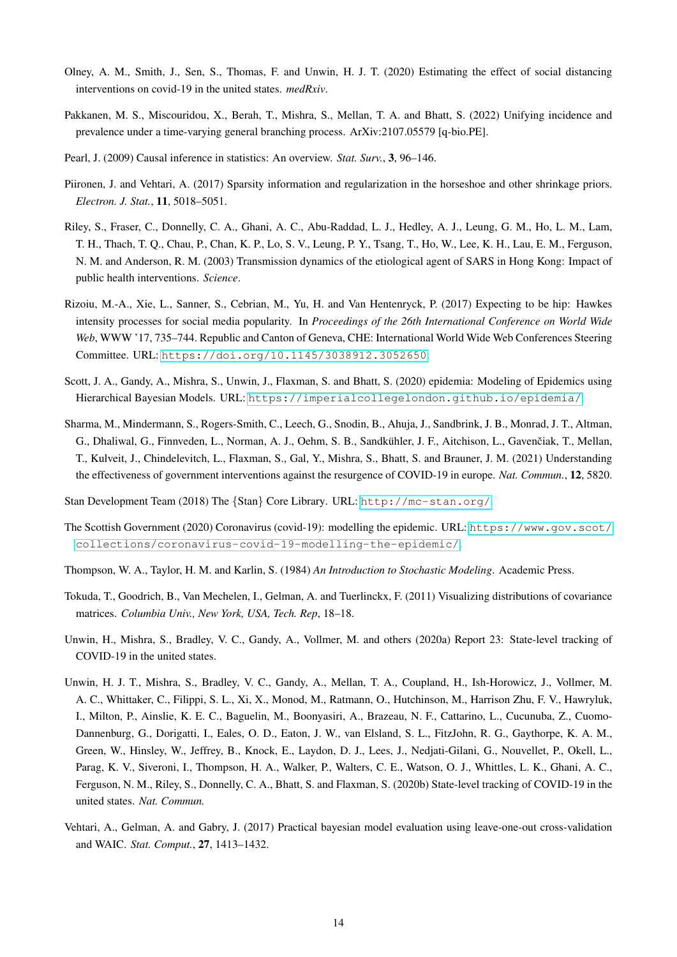- <span id="page-13-1"></span>Olney, A. M., Smith, J., Sen, S., Thomas, F. and Unwin, H. J. T. (2020) Estimating the effect of social distancing interventions on covid-19 in the united states. *medRxiv*.
- <span id="page-13-4"></span>Pakkanen, M. S., Miscouridou, X., Berah, T., Mishra, S., Mellan, T. A. and Bhatt, S. (2022) Unifying incidence and prevalence under a time-varying general branching process. ArXiv:2107.05579 [q-bio.PE].
- <span id="page-13-11"></span>Pearl, J. (2009) Causal inference in statistics: An overview. *Stat. Surv.*, 3, 96–146.
- <span id="page-13-9"></span>Piironen, J. and Vehtari, A. (2017) Sparsity information and regularization in the horseshoe and other shrinkage priors. *Electron. J. Stat.*, 11, 5018–5051.
- <span id="page-13-3"></span>Riley, S., Fraser, C., Donnelly, C. A., Ghani, A. C., Abu-Raddad, L. J., Hedley, A. J., Leung, G. M., Ho, L. M., Lam, T. H., Thach, T. Q., Chau, P., Chan, K. P., Lo, S. V., Leung, P. Y., Tsang, T., Ho, W., Lee, K. H., Lau, E. M., Ferguson, N. M. and Anderson, R. M. (2003) Transmission dynamics of the etiological agent of SARS in Hong Kong: Impact of public health interventions. *Science*.
- <span id="page-13-5"></span>Rizoiu, M.-A., Xie, L., Sanner, S., Cebrian, M., Yu, H. and Van Hentenryck, P. (2017) Expecting to be hip: Hawkes intensity processes for social media popularity. In *Proceedings of the 26th International Conference on World Wide Web*, WWW '17, 735–744. Republic and Canton of Geneva, CHE: International World Wide Web Conferences Steering Committee. URL: <https://doi.org/10.1145/3038912.3052650>.
- <span id="page-13-12"></span>Scott, J. A., Gandy, A., Mishra, S., Unwin, J., Flaxman, S. and Bhatt, S. (2020) epidemia: Modeling of Epidemics using Hierarchical Bayesian Models. URL: <https://imperialcollegelondon.github.io/epidemia/>.
- <span id="page-13-8"></span>Sharma, M., Mindermann, S., Rogers-Smith, C., Leech, G., Snodin, B., Ahuja, J., Sandbrink, J. B., Monrad, J. T., Altman, G., Dhaliwal, G., Finnveden, L., Norman, A. J., Oehm, S. B., Sandkühler, J. F., Aitchison, L., Gavenčiak, T., Mellan, T., Kulveit, J., Chindelevitch, L., Flaxman, S., Gal, Y., Mishra, S., Bhatt, S. and Brauner, J. M. (2021) Understanding the effectiveness of government interventions against the resurgence of COVID-19 in europe. *Nat. Commun.*, 12, 5820.
- <span id="page-13-13"></span>Stan Development Team (2018) The {Stan} Core Library. URL: <http://mc-stan.org/>.
- <span id="page-13-2"></span>The Scottish Government (2020) Coronavirus (covid-19): modelling the epidemic. URL: [https://www.gov.scot/](https://www.gov.scot/collections/coronavirus-covid-19-modelling-the-epidemic/) [collections/coronavirus-covid-19-modelling-the-epidemic/](https://www.gov.scot/collections/coronavirus-covid-19-modelling-the-epidemic/).
- <span id="page-13-14"></span>Thompson, W. A., Taylor, H. M. and Karlin, S. (1984) *An Introduction to Stochastic Modeling*. Academic Press.
- <span id="page-13-6"></span>Tokuda, T., Goodrich, B., Van Mechelen, I., Gelman, A. and Tuerlinckx, F. (2011) Visualizing distributions of covariance matrices. *Columbia Univ., New York, USA, Tech. Rep*, 18–18.
- <span id="page-13-0"></span>Unwin, H., Mishra, S., Bradley, V. C., Gandy, A., Vollmer, M. and others (2020a) Report 23: State-level tracking of COVID-19 in the united states.
- <span id="page-13-7"></span>Unwin, H. J. T., Mishra, S., Bradley, V. C., Gandy, A., Mellan, T. A., Coupland, H., Ish-Horowicz, J., Vollmer, M. A. C., Whittaker, C., Filippi, S. L., Xi, X., Monod, M., Ratmann, O., Hutchinson, M., Harrison Zhu, F. V., Hawryluk, I., Milton, P., Ainslie, K. E. C., Baguelin, M., Boonyasiri, A., Brazeau, N. F., Cattarino, L., Cucunuba, Z., Cuomo-Dannenburg, G., Dorigatti, I., Eales, O. D., Eaton, J. W., van Elsland, S. L., FitzJohn, R. G., Gaythorpe, K. A. M., Green, W., Hinsley, W., Jeffrey, B., Knock, E., Laydon, D. J., Lees, J., Nedjati-Gilani, G., Nouvellet, P., Okell, L., Parag, K. V., Siveroni, I., Thompson, H. A., Walker, P., Walters, C. E., Watson, O. J., Whittles, L. K., Ghani, A. C., Ferguson, N. M., Riley, S., Donnelly, C. A., Bhatt, S. and Flaxman, S. (2020b) State-level tracking of COVID-19 in the united states. *Nat. Commun.*
- <span id="page-13-10"></span>Vehtari, A., Gelman, A. and Gabry, J. (2017) Practical bayesian model evaluation using leave-one-out cross-validation and WAIC. *Stat. Comput.*, 27, 1413–1432.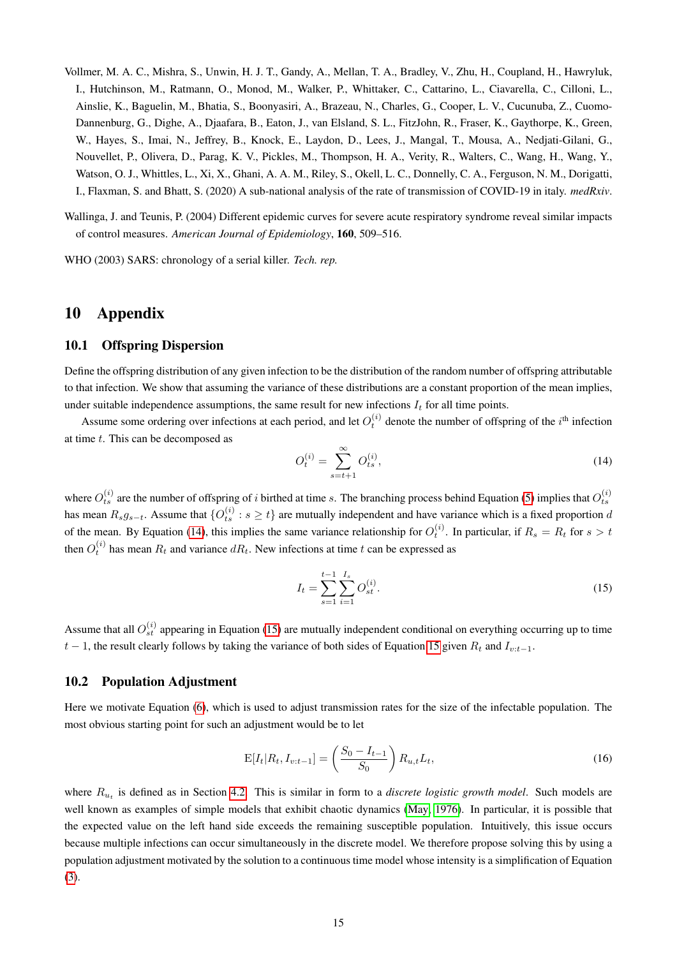- <span id="page-14-0"></span>Vollmer, M. A. C., Mishra, S., Unwin, H. J. T., Gandy, A., Mellan, T. A., Bradley, V., Zhu, H., Coupland, H., Hawryluk, I., Hutchinson, M., Ratmann, O., Monod, M., Walker, P., Whittaker, C., Cattarino, L., Ciavarella, C., Cilloni, L., Ainslie, K., Baguelin, M., Bhatia, S., Boonyasiri, A., Brazeau, N., Charles, G., Cooper, L. V., Cucunuba, Z., Cuomo-Dannenburg, G., Dighe, A., Djaafara, B., Eaton, J., van Elsland, S. L., FitzJohn, R., Fraser, K., Gaythorpe, K., Green, W., Hayes, S., Imai, N., Jeffrey, B., Knock, E., Laydon, D., Lees, J., Mangal, T., Mousa, A., Nedjati-Gilani, G., Nouvellet, P., Olivera, D., Parag, K. V., Pickles, M., Thompson, H. A., Verity, R., Walters, C., Wang, H., Wang, Y., Watson, O. J., Whittles, L., Xi, X., Ghani, A. A. M., Riley, S., Okell, L. C., Donnelly, C. A., Ferguson, N. M., Dorigatti, I., Flaxman, S. and Bhatt, S. (2020) A sub-national analysis of the rate of transmission of COVID-19 in italy. *medRxiv*.
- <span id="page-14-2"></span>Wallinga, J. and Teunis, P. (2004) Different epidemic curves for severe acute respiratory syndrome reveal similar impacts of control measures. *American Journal of Epidemiology*, 160, 509–516.

<span id="page-14-1"></span>WHO (2003) SARS: chronology of a serial killer. *Tech. rep.*

# 10 Appendix

### <span id="page-14-3"></span>10.1 Offspring Dispersion

Define the offspring distribution of any given infection to be the distribution of the random number of offspring attributable to that infection. We show that assuming the variance of these distributions are a constant proportion of the mean implies, under suitable independence assumptions, the same result for new infections  $I_t$  for all time points.

Assume some ordering over infections at each period, and let  $O_t^{(i)}$  denote the number of offspring of the  $i<sup>th</sup>$  infection at time t. This can be decomposed as

<span id="page-14-5"></span>
$$
O_t^{(i)} = \sum_{s=t+1}^{\infty} O_{ts}^{(i)},\tag{14}
$$

where  $O_{ts}^{(i)}$  are the number of offspring of i birthed at time s. The branching process behind Equation [\(5\)](#page-3-1) implies that  $O_{ts}^{(i)}$ has mean  $R_s g_{s-t}$ . Assume that  $\{O_{ts}^{(i)}: s \ge t\}$  are mutually independent and have variance which is a fixed proportion d of the mean. By Equation [\(14\)](#page-14-5), this implies the same variance relationship for  $O_t^{(i)}$ . In particular, if  $R_s = R_t$  for  $s > t$ then  $O_t^{(i)}$  has mean  $R_t$  and variance  $dR_t$ . New infections at time t can be expressed as

<span id="page-14-6"></span>
$$
I_t = \sum_{s=1}^{t-1} \sum_{i=1}^{I_s} O_{st}^{(i)}.
$$
 (15)

Assume that all  $O_{st}^{(i)}$  appearing in Equation [\(15\)](#page-14-6) are mutually independent conditional on everything occurring up to time  $t-1$ , the result clearly follows by taking the variance of both sides of Equation [15](#page-14-6) given  $R_t$  and  $I_{v:t-1}$ .

#### <span id="page-14-4"></span>10.2 Population Adjustment

Here we motivate Equation [\(6\)](#page-4-2), which is used to adjust transmission rates for the size of the infectable population. The most obvious starting point for such an adjustment would be to let

$$
E[I_t|R_t, I_{v:t-1}] = \left(\frac{S_0 - I_{t-1}}{S_0}\right) R_{u,t} L_t,
$$
\n(16)

where  $R_{u_t}$  is defined as in Section [4.2.](#page-3-3) This is similar in form to a *discrete logistic growth model*. Such models are well known as examples of simple models that exhibit chaotic dynamics [\(May, 1976\)](#page-12-13). In particular, it is possible that the expected value on the left hand side exceeds the remaining susceptible population. Intuitively, this issue occurs because multiple infections can occur simultaneously in the discrete model. We therefore propose solving this by using a population adjustment motivated by the solution to a continuous time model whose intensity is a simplification of Equation [\(3\)](#page-2-1).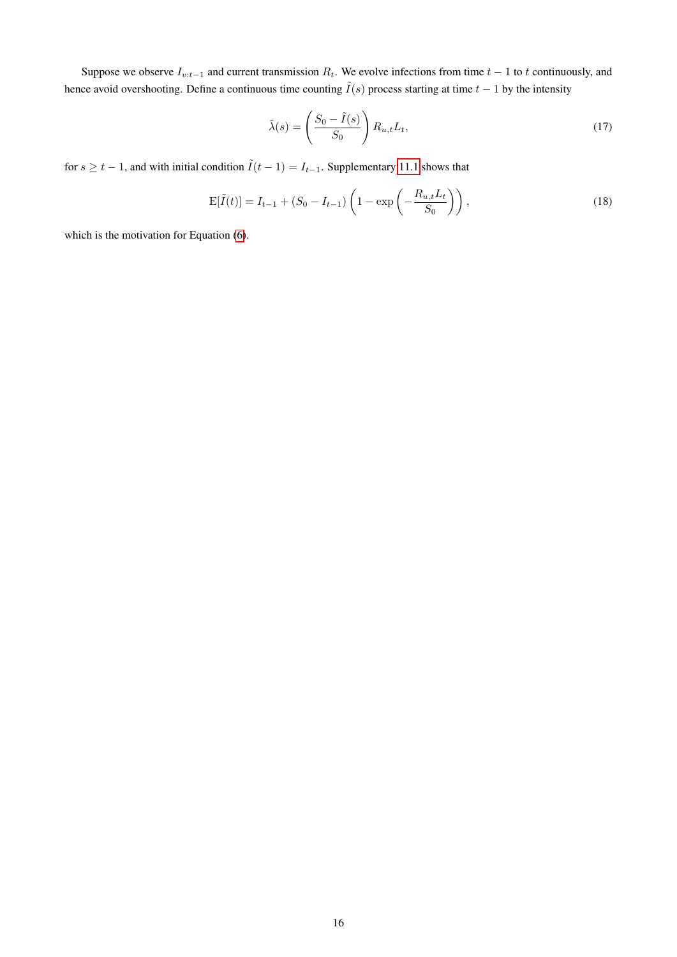Suppose we observe  $I_{v:t-1}$  and current transmission  $R_t$ . We evolve infections from time  $t-1$  to t continuously, and hence avoid overshooting. Define a continuous time counting  $\tilde{I}(s)$  process starting at time  $t - 1$  by the intensity

<span id="page-15-1"></span>
$$
\tilde{\lambda}(s) = \left(\frac{S_0 - \tilde{I}(s)}{S_0}\right) R_{u,t} L_t,
$$
\n(17)

for  $s \ge t - 1$ , and with initial condition  $\tilde{I}(t - 1) = I_{t-1}$ . Supplementary [11.1](#page-16-0) shows that

<span id="page-15-0"></span>
$$
E[\tilde{I}(t)] = I_{t-1} + (S_0 - I_{t-1}) \left( 1 - \exp\left( -\frac{R_{u,t} L_t}{S_0} \right) \right),\tag{18}
$$

which is the motivation for Equation  $(6)$ .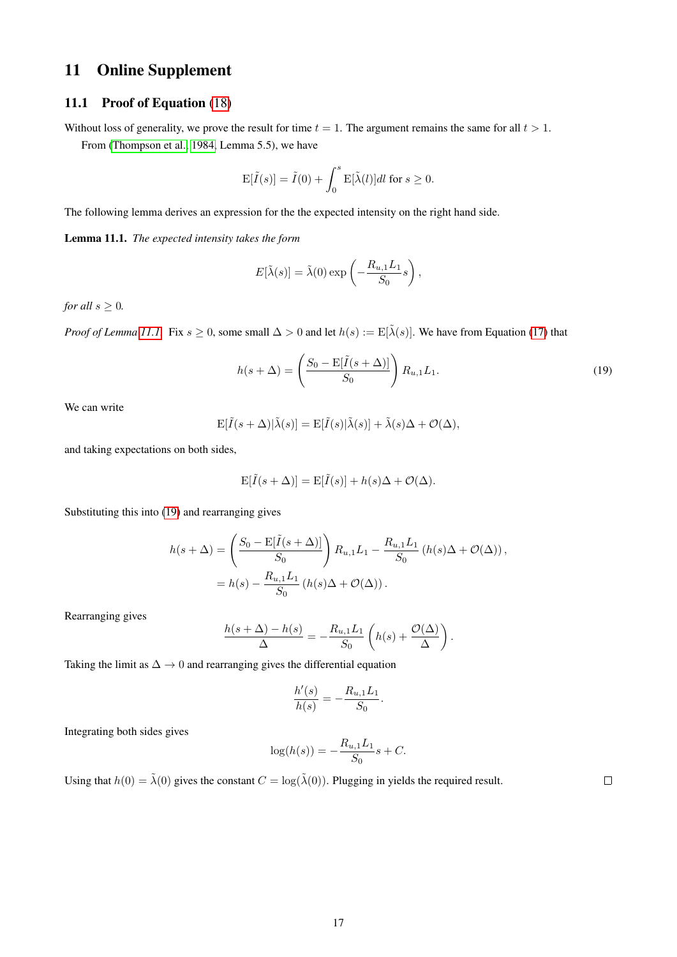# 11 Online Supplement

### <span id="page-16-0"></span>11.1 Proof of Equation [\(18\)](#page-15-0)

Without loss of generality, we prove the result for time  $t = 1$ . The argument remains the same for all  $t > 1$ .

From [\(Thompson et al., 1984,](#page-13-14) Lemma 5.5), we have

$$
\mathrm{E}[\tilde{I}(s)] = \tilde{I}(0) + \int_0^s \mathrm{E}[\tilde{\lambda}(l)]dl \text{ for } s \ge 0.
$$

The following lemma derives an expression for the the expected intensity on the right hand side.

<span id="page-16-1"></span>Lemma 11.1. *The expected intensity takes the form*

$$
E[\tilde{\lambda}(s)] = \tilde{\lambda}(0) \exp\left(-\frac{R_{u,1}L_1}{S_0}s\right),\,
$$

*for all*  $s \geq 0$ *.* 

*Proof of Lemma [11.1.](#page-16-1)* Fix  $s \ge 0$ , some small  $\Delta > 0$  and let  $h(s) := E[\tilde{\lambda}(s)]$ . We have from Equation [\(17\)](#page-15-1) that

<span id="page-16-2"></span>
$$
h(s+\Delta) = \left(\frac{S_0 - \mathbb{E}[\tilde{I}(s+\Delta)]}{S_0}\right) R_{u,1} L_1.
$$
\n(19)

We can write

$$
E[\tilde{I}(s+\Delta)|\tilde{\lambda}(s)] = E[\tilde{I}(s)|\tilde{\lambda}(s)] + \tilde{\lambda}(s)\Delta + \mathcal{O}(\Delta),
$$

and taking expectations on both sides,

$$
\mathbf{E}[\tilde{I}(s+\Delta)] = \mathbf{E}[\tilde{I}(s)] + h(s)\Delta + \mathcal{O}(\Delta).
$$

Substituting this into [\(19\)](#page-16-2) and rearranging gives

$$
h(s+\Delta) = \left(\frac{S_0 - \mathbb{E}[\tilde{I}(s+\Delta)]}{S_0}\right) R_{u,1} L_1 - \frac{R_{u,1} L_1}{S_0} \left(h(s)\Delta + \mathcal{O}(\Delta)\right),
$$
  
=  $h(s) - \frac{R_{u,1} L_1}{S_0} \left(h(s)\Delta + \mathcal{O}(\Delta)\right).$ 

Rearranging gives

$$
\frac{h(s + \Delta) - h(s)}{\Delta} = -\frac{R_{u,1}L_1}{S_0} \left( h(s) + \frac{\mathcal{O}(\Delta)}{\Delta} \right).
$$

Taking the limit as  $\Delta \rightarrow 0$  and rearranging gives the differential equation

$$
\frac{h'(s)}{h(s)} = -\frac{R_{u,1}L_1}{S_0}.
$$

Integrating both sides gives

$$
\log(h(s)) = -\frac{R_{u,1}L_1}{S_0}s + C.
$$

Using that  $h(0) = \tilde{\lambda}(0)$  gives the constant  $C = \log(\tilde{\lambda}(0))$ . Plugging in yields the required result.

 $\Box$